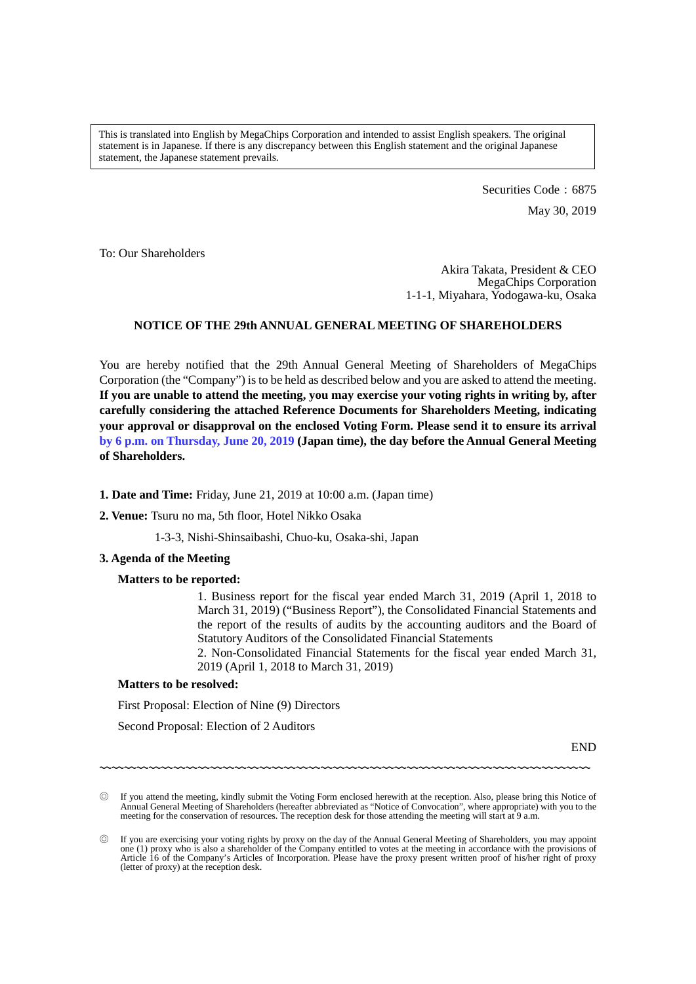This is translated into English by MegaChips Corporation and intended to assist English speakers. The original statement is in Japanese. If there is any discrepancy between this English statement and the original Japanese statement, the Japanese statement prevails.

> Securities Code: 6875 May 30, 2019

To: Our Shareholders

Akira Takata, President & CEO MegaChips Corporation 1-1-1, Miyahara, Yodogawa-ku, Osaka

# **NOTICE OF THE 29th ANNUAL GENERAL MEETING OF SHAREHOLDERS**

You are hereby notified that the 29th Annual General Meeting of Shareholders of MegaChips Corporation (the "Company") is to be held as described below and you are asked to attend the meeting. **If you are unable to attend the meeting, you may exercise your voting rights in writing by, after carefully considering the attached Reference Documents for Shareholders Meeting, indicating your approval or disapproval on the enclosed Voting Form. Please send it to ensure its arrival by 6 p.m. on Thursday, June 20, 2019 (Japan time), the day before the Annual General Meeting of Shareholders.**

### **1. Date and Time:** Friday, June 21, 2019 at 10:00 a.m. (Japan time)

### **2. Venue:** Tsuru no ma, 5th floor, Hotel Nikko Osaka

1-3-3, Nishi-Shinsaibashi, Chuo-ku, Osaka-shi, Japan

### **3. Agenda of the Meeting**

#### **Matters to be reported:**

1. Business report for the fiscal year ended March 31, 2019 (April 1, 2018 to March 31, 2019) ("Business Report"), the Consolidated Financial Statements and the report of the results of audits by the accounting auditors and the Board of Statutory Auditors of the Consolidated Financial Statements

2. Non-Consolidated Financial Statements for the fiscal year ended March 31, 2019 (April 1, 2018 to March 31, 2019)

## **Matters to be resolved:**

First Proposal: Election of Nine (9) Directors

Second Proposal: Election of 2 Auditors

END

〰〰〰〰〰〰〰〰〰〰〰〰〰〰〰〰〰〰〰〰〰〰〰〰〰〰〰〰〰〰〰〰〰〰〰〰〰〰〰〰

If you attend the meeting, kindly submit the Voting Form enclosed herewith at the reception. Also, please bring this Notice of Annual General Meeting of Shareholders (hereafter abbreviated as "Notice of Convocation", where appropriate) with you to the meeting for the conservation of resources. The reception desk for those attending the meeting will start at 9 a.m.

<sup>◎</sup> If you are exercising your voting rights by proxy on the day of the Annual General Meeting of Shareholders, you may appoint one (1) proxy who is also a shareholder of the Company entitled to votes at the meeting in accordance with the provisions of Article 16 of the Company's Articles of Incorporation. Please have the proxy present written proof of his/her right of proxy (letter of proxy) at the reception desk.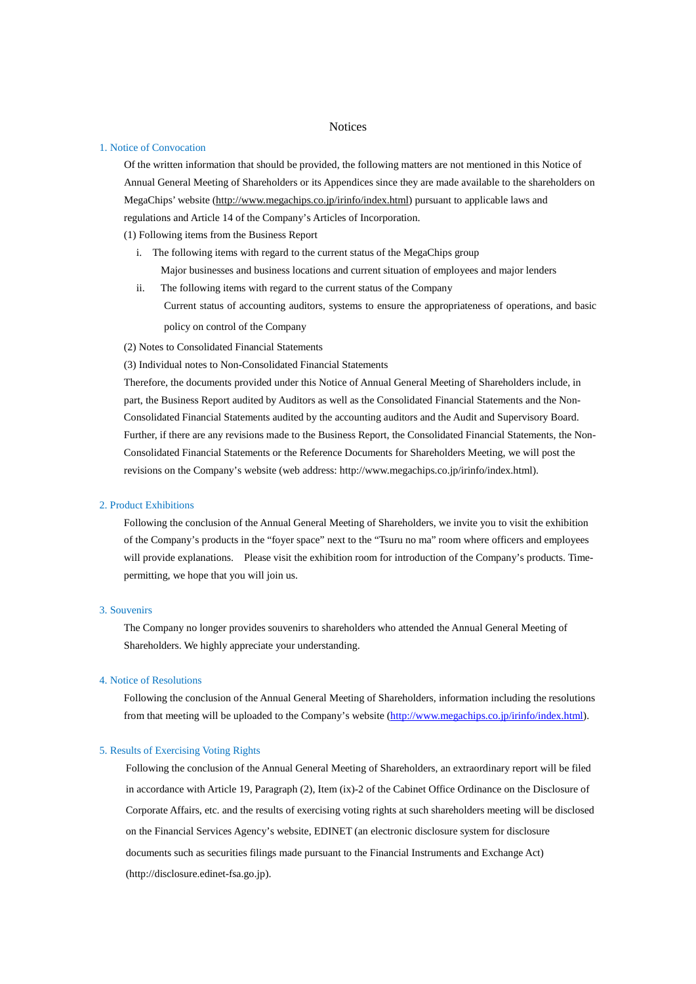#### **Notices**

#### 1. Notice of Convocation

Of the written information that should be provided, the following matters are not mentioned in this Notice of Annual General Meeting of Shareholders or its Appendices since they are made available to the shareholders on MegaChips' website [\(http://www.megachips.co.jp/irinfo/index.html\)](http://www.megachips.co.jp/irinfo/index.html) pursuant to applicable laws and regulations and Article 14 of the Company's Articles of Incorporation.

(1) Following items from the Business Report

- i. The following items with regard to the current status of the MegaChips group Major businesses and business locations and current situation of employees and major lenders
- ii. The following items with regard to the current status of the Company Current status of accounting auditors, systems to ensure the appropriateness of operations, and basic policy on control of the Company

(2) Notes to Consolidated Financial Statements

(3) Individual notes to Non-Consolidated Financial Statements

Therefore, the documents provided under this Notice of Annual General Meeting of Shareholders include, in part, the Business Report audited by Auditors as well as the Consolidated Financial Statements and the Non-Consolidated Financial Statements audited by the accounting auditors and the Audit and Supervisory Board. Further, if there are any revisions made to the Business Report, the Consolidated Financial Statements, the Non-Consolidated Financial Statements or the Reference Documents for Shareholders Meeting, we will post the revisions on the Company's website (web address: http://www.megachips.co.jp/irinfo/index.html).

### 2. Product Exhibitions

Following the conclusion of the Annual General Meeting of Shareholders, we invite you to visit the exhibition of the Company's products in the "foyer space" next to the "Tsuru no ma" room where officers and employees will provide explanations. Please visit the exhibition room for introduction of the Company's products. Timepermitting, we hope that you will join us.

#### 3. Souvenirs

The Company no longer provides souvenirs to shareholders who attended the Annual General Meeting of Shareholders. We highly appreciate your understanding.

#### 4. Notice of Resolutions

Following the conclusion of the Annual General Meeting of Shareholders, information including the resolutions from that meeting will be uploaded to the Company's website [\(http://www.megachips.co.jp/irinfo/index.html\)](http://www.megachips.co.jp/irinfo/index.html).

#### 5. Results of Exercising Voting Rights

Following the conclusion of the Annual General Meeting of Shareholders, an extraordinary report will be filed in accordance with Article 19, Paragraph (2), Item (ix)-2 of the Cabinet Office Ordinance on the Disclosure of Corporate Affairs, etc. and the results of exercising voting rights at such shareholders meeting will be disclosed on the Financial Services Agency's website, EDINET (an electronic disclosure system for disclosure documents such as securities filings made pursuant to the Financial Instruments and Exchange Act) (http://disclosure.edinet-fsa.go.jp).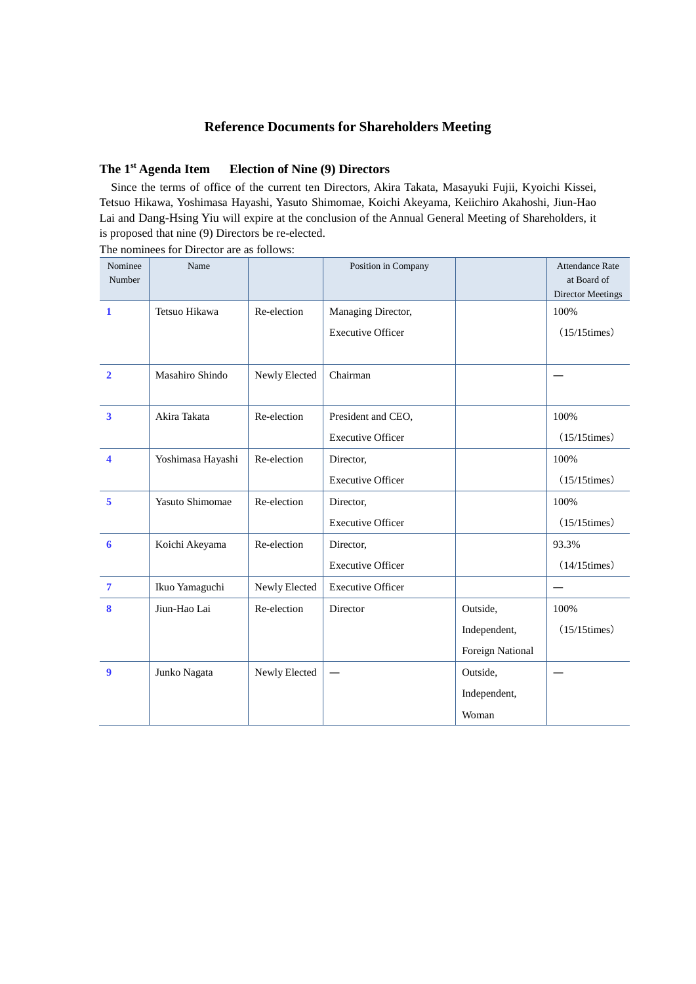# **Reference Documents for Shareholders Meeting**

# **The 1st Agenda Item Election of Nine (9) Directors**

Since the terms of office of the current ten Directors, Akira Takata, Masayuki Fujii, Kyoichi Kissei, Tetsuo Hikawa, Yoshimasa Hayashi, Yasuto Shimomae, Koichi Akeyama, Keiichiro Akahoshi, Jiun-Hao Lai and Dang-Hsing Yiu will expire at the conclusion of the Annual General Meeting of Shareholders, it is proposed that nine (9) Directors be re-elected.

| Nominee<br>Number       | Name              |               | Position in Company      |                  | <b>Attendance Rate</b><br>at Board of<br><b>Director Meetings</b> |
|-------------------------|-------------------|---------------|--------------------------|------------------|-------------------------------------------------------------------|
| $\mathbf{1}$            | Tetsuo Hikawa     | Re-election   | Managing Director,       |                  | 100%                                                              |
|                         |                   |               | <b>Executive Officer</b> |                  | $(15/15$ times)                                                   |
|                         |                   |               |                          |                  |                                                                   |
| $\overline{2}$          | Masahiro Shindo   | Newly Elected | Chairman                 |                  |                                                                   |
|                         |                   |               |                          |                  |                                                                   |
| $\overline{\mathbf{3}}$ | Akira Takata      | Re-election   | President and CEO,       |                  | 100%                                                              |
|                         |                   |               | <b>Executive Officer</b> |                  | $(15/15$ times)                                                   |
| $\overline{\mathbf{4}}$ | Yoshimasa Hayashi | Re-election   | Director,                |                  | 100%                                                              |
|                         |                   |               | <b>Executive Officer</b> |                  | $(15/15$ times)                                                   |
| 5                       | Yasuto Shimomae   | Re-election   | Director,                |                  | 100%                                                              |
|                         |                   |               | <b>Executive Officer</b> |                  | $(15/15$ times)                                                   |
| 6                       | Koichi Akeyama    | Re-election   | Director,                |                  | 93.3%                                                             |
|                         |                   |               | <b>Executive Officer</b> |                  | $(14/15$ times)                                                   |
| $\overline{7}$          | Ikuo Yamaguchi    | Newly Elected | <b>Executive Officer</b> |                  |                                                                   |
| 8                       | Jiun-Hao Lai      | Re-election   | Director                 | Outside,         | 100%                                                              |
|                         |                   |               |                          | Independent,     | $(15/15$ times)                                                   |
|                         |                   |               |                          | Foreign National |                                                                   |
| $\boldsymbol{9}$        | Junko Nagata      | Newly Elected |                          | Outside,         |                                                                   |
|                         |                   |               |                          | Independent,     |                                                                   |
|                         |                   |               |                          | Woman            |                                                                   |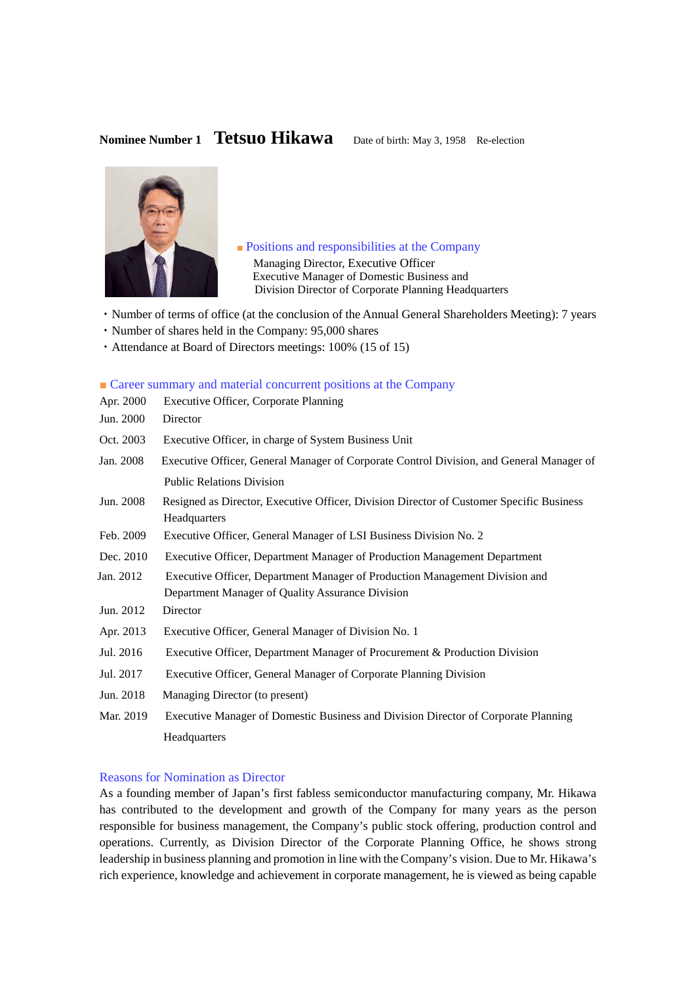**Nominee Number 1 <b>Tetsuo Hikawa** Date of birth: May 3, 1958 Re-election



■ Positions and responsibilities at the Company

Managing Director, Executive Officer Executive Manager of Domestic Business and Division Director of Corporate Planning Headquarters

- ・Number of terms of office (at the conclusion of the Annual General Shareholders Meeting): 7 years
- ・Number of shares held in the Company: 95,000 shares
- ・Attendance at Board of Directors meetings: 100% (15 of 15)

### ■ Career summary and material concurrent positions at the Company

| Apr. 2000 | <b>Executive Officer, Corporate Planning</b>                                                             |
|-----------|----------------------------------------------------------------------------------------------------------|
| Jun. 2000 | Director                                                                                                 |
| Oct. 2003 | Executive Officer, in charge of System Business Unit                                                     |
| Jan. 2008 | Executive Officer, General Manager of Corporate Control Division, and General Manager of                 |
|           | <b>Public Relations Division</b>                                                                         |
| Jun. 2008 | Resigned as Director, Executive Officer, Division Director of Customer Specific Business<br>Headquarters |
| Feb. 2009 | Executive Officer, General Manager of LSI Business Division No. 2                                        |
| Dec. 2010 | Executive Officer, Department Manager of Production Management Department                                |
| Jan. 2012 | Executive Officer, Department Manager of Production Management Division and                              |
|           | Department Manager of Quality Assurance Division                                                         |
| Jun. 2012 | Director                                                                                                 |
| Apr. 2013 | Executive Officer, General Manager of Division No. 1                                                     |
| Jul. 2016 | Executive Officer, Department Manager of Procurement & Production Division                               |
| Jul. 2017 | Executive Officer, General Manager of Corporate Planning Division                                        |
| Jun. 2018 | Managing Director (to present)                                                                           |
| Mar. 2019 | Executive Manager of Domestic Business and Division Director of Corporate Planning                       |
|           | Headquarters                                                                                             |

### Reasons for Nomination as Director

As a founding member of Japan's first fabless semiconductor manufacturing company, Mr. Hikawa has contributed to the development and growth of the Company for many years as the person responsible for business management, the Company's public stock offering, production control and operations. Currently, as Division Director of the Corporate Planning Office, he shows strong leadership in business planning and promotion in line with the Company's vision. Due to Mr. Hikawa's rich experience, knowledge and achievement in corporate management, he is viewed as being capable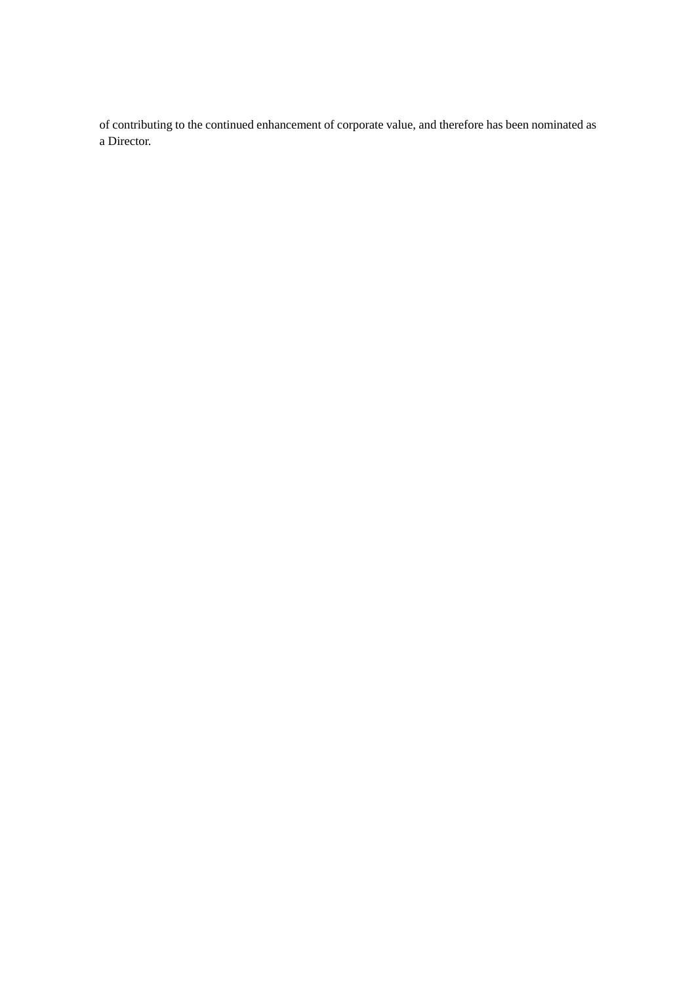of contributing to the continued enhancement of corporate value, and therefore has been nominated as a Director.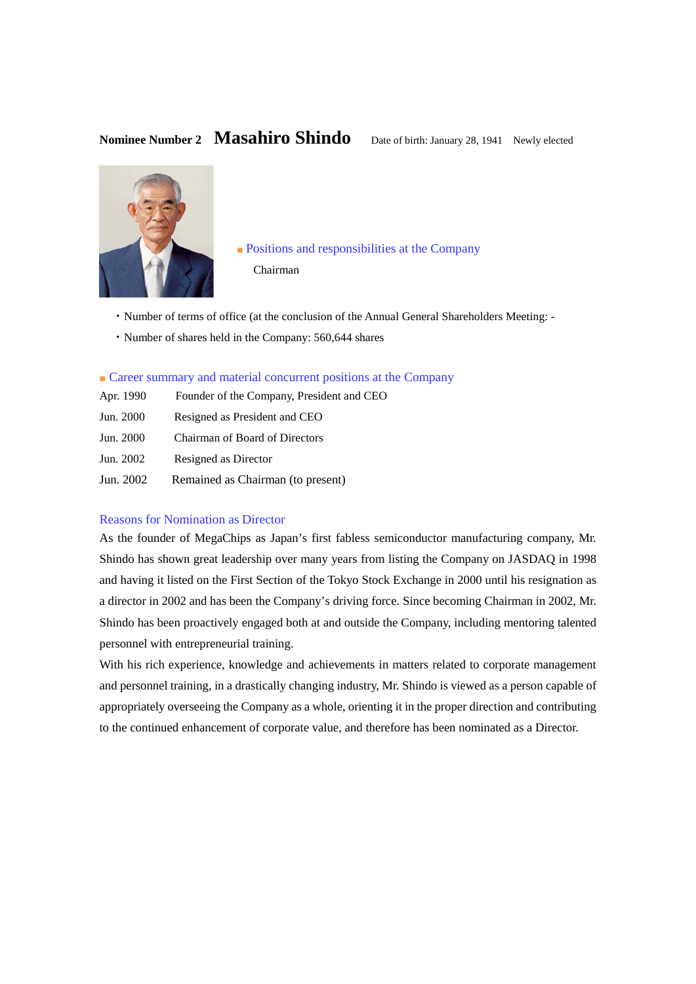# Nominee Number 2 **Masahiro Shindo** Date of birth: January 28, 1941 Newly elected



■ Positions and responsibilities at the Company Chairman

- ・Number of terms of office (at the conclusion of the Annual General Shareholders Meeting: -
- ・Number of shares held in the Company: 560,644 shares

## ■ Career summary and material concurrent positions at the Company

- Apr. 1990 Founder of the Company, President and CEO
- Jun. 2000 Resigned as President and CEO
- Jun. 2000 Chairman of Board of Directors
- Jun. 2002 Resigned as Director
- Jun. 2002 Remained as Chairman (to present)

# Reasons for Nomination as Director

As the founder of MegaChips as Japan's first fabless semiconductor manufacturing company, Mr. Shindo has shown great leadership over many years from listing the Company on JASDAQ in 1998 and having it listed on the First Section of the Tokyo Stock Exchange in 2000 until his resignation as a director in 2002 and has been the Company's driving force. Since becoming Chairman in 2002, Mr. Shindo has been proactively engaged both at and outside the Company, including mentoring talented personnel with entrepreneurial training.

With his rich experience, knowledge and achievements in matters related to corporate management and personnel training, in a drastically changing industry, Mr. Shindo is viewed as a person capable of appropriately overseeing the Company as a whole, orienting it in the proper direction and contributing to the continued enhancement of corporate value, and therefore has been nominated as a Director.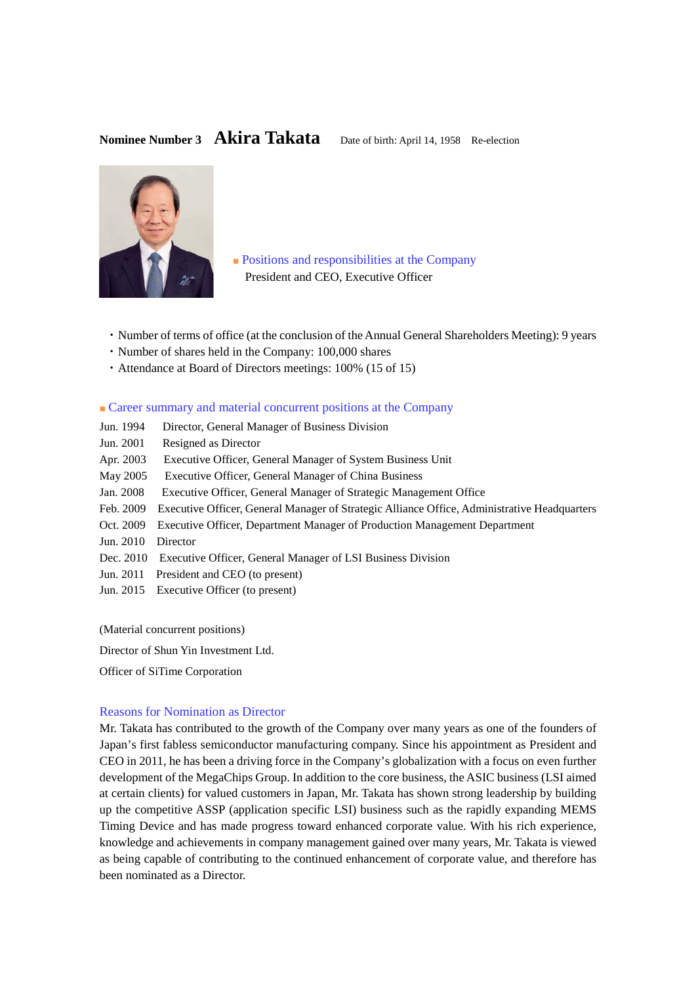# Nominee Number 3 **Akira Takata** Date of birth: April 14, 1958 Re-election



■ Positions and responsibilities at the Company President and CEO, Executive Officer

- ・Number of terms of office (at the conclusion of the Annual General Shareholders Meeting): 9 years
- ・Number of shares held in the Company: 100,000 shares
- ・Attendance at Board of Directors meetings: 100% (15 of 15)

#### ■ Career summary and material concurrent positions at the Company

- Jun. 1994 Director, General Manager of Business Division
- Jun. 2001 Resigned as Director
- Apr. 2003 Executive Officer, General Manager of System Business Unit
- May 2005 Executive Officer, General Manager of China Business
- Jan. 2008 Executive Officer, General Manager of Strategic Management Office
- Feb. 2009 Executive Officer, General Manager of Strategic Alliance Office, Administrative Headquarters
- Oct. 2009 Executive Officer, Department Manager of Production Management Department
- Jun. 2010 Director
- Dec. 2010 Executive Officer, General Manager of LSI Business Division
- Jun. 2011 President and CEO (to present)
- Jun. 2015 Executive Officer (to present)

(Material concurrent positions)

Director of Shun Yin Investment Ltd.

Officer of SiTime Corporation

### Reasons for Nomination as Director

Mr. Takata has contributed to the growth of the Company over many years as one of the founders of Japan's first fabless semiconductor manufacturing company. Since his appointment as President and CEO in 2011, he has been a driving force in the Company's globalization with a focus on even further development of the MegaChips Group. In addition to the core business, the ASIC business (LSI aimed at certain clients) for valued customers in Japan, Mr. Takata has shown strong leadership by building up the competitive ASSP (application specific LSI) business such as the rapidly expanding MEMS Timing Device and has made progress toward enhanced corporate value. With his rich experience, knowledge and achievements in company management gained over many years, Mr. Takata is viewed as being capable of contributing to the continued enhancement of corporate value, and therefore has been nominated as a Director.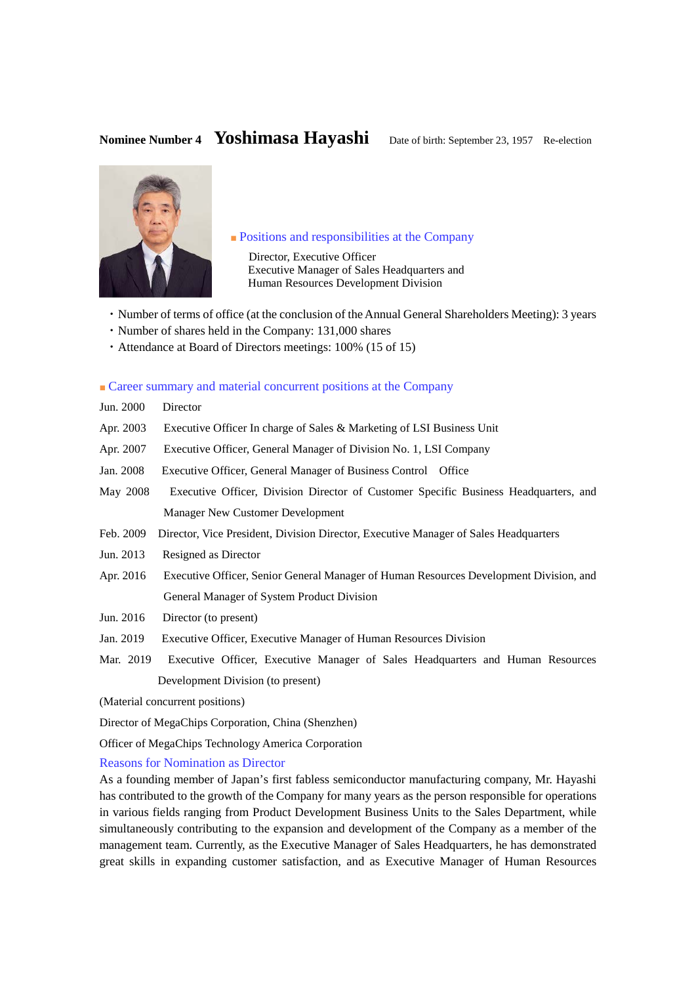

### ■ Positions and responsibilities at the Company

Director, Executive Officer Executive Manager of Sales Headquarters and Human Resources Development Division

- ・Number of terms of office (at the conclusion of the Annual General Shareholders Meeting): 3 years
- ・Number of shares held in the Company: 131,000 shares
- ・Attendance at Board of Directors meetings: 100% (15 of 15)

### ■ Career summary and material concurrent positions at the Company

| Jun. 2000 | Director |
|-----------|----------|
|-----------|----------|

- Apr. 2003 Executive Officer In charge of Sales & Marketing of LSI Business Unit
- Apr. 2007 Executive Officer, General Manager of Division No. 1, LSI Company
- Jan. 2008 Executive Officer, General Manager of Business Control Office
- May 2008 Executive Officer, Division Director of Customer Specific Business Headquarters, and Manager New Customer Development
- Feb. 2009 Director, Vice President, Division Director, Executive Manager of Sales Headquarters
- Jun. 2013 Resigned as Director
- Apr. 2016 Executive Officer, Senior General Manager of Human Resources Development Division, and General Manager of System Product Division
- Jun. 2016 Director (to present)
- Jan. 2019 Executive Officer, Executive Manager of Human Resources Division
- Mar. 2019 Executive Officer, Executive Manager of Sales Headquarters and Human Resources Development Division (to present)

(Material concurrent positions)

Director of MegaChips Corporation, China (Shenzhen)

Officer of MegaChips Technology America Corporation

#### Reasons for Nomination as Director

As a founding member of Japan's first fabless semiconductor manufacturing company, Mr. Hayashi has contributed to the growth of the Company for many years as the person responsible for operations in various fields ranging from Product Development Business Units to the Sales Department, while simultaneously contributing to the expansion and development of the Company as a member of the management team. Currently, as the Executive Manager of Sales Headquarters, he has demonstrated great skills in expanding customer satisfaction, and as Executive Manager of Human Resources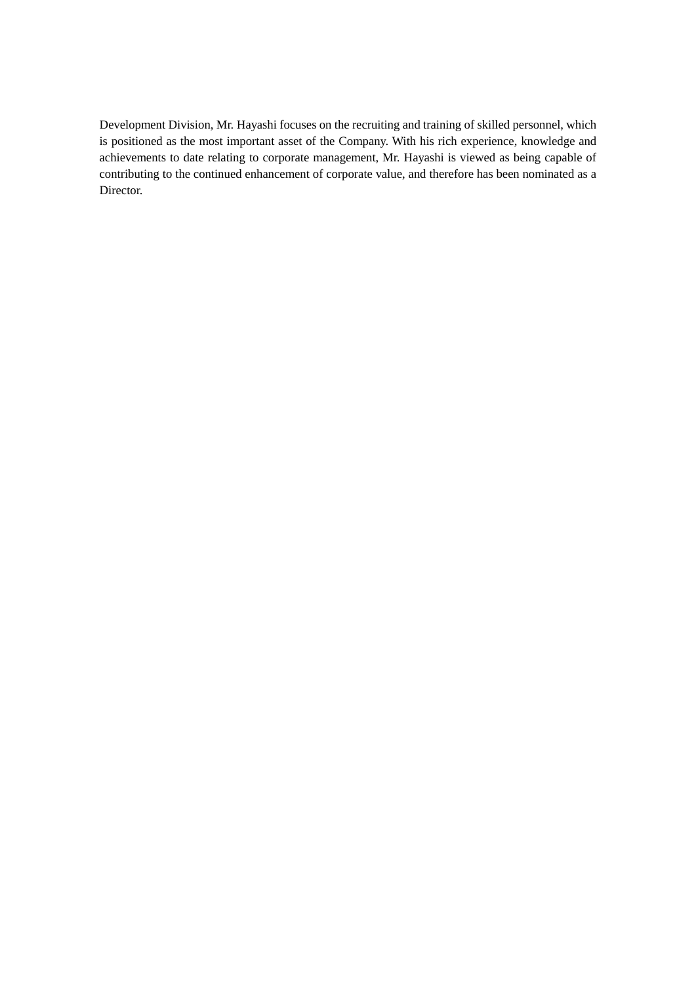Development Division, Mr. Hayashi focuses on the recruiting and training of skilled personnel, which is positioned as the most important asset of the Company. With his rich experience, knowledge and achievements to date relating to corporate management, Mr. Hayashi is viewed as being capable of contributing to the continued enhancement of corporate value, and therefore has been nominated as a Director.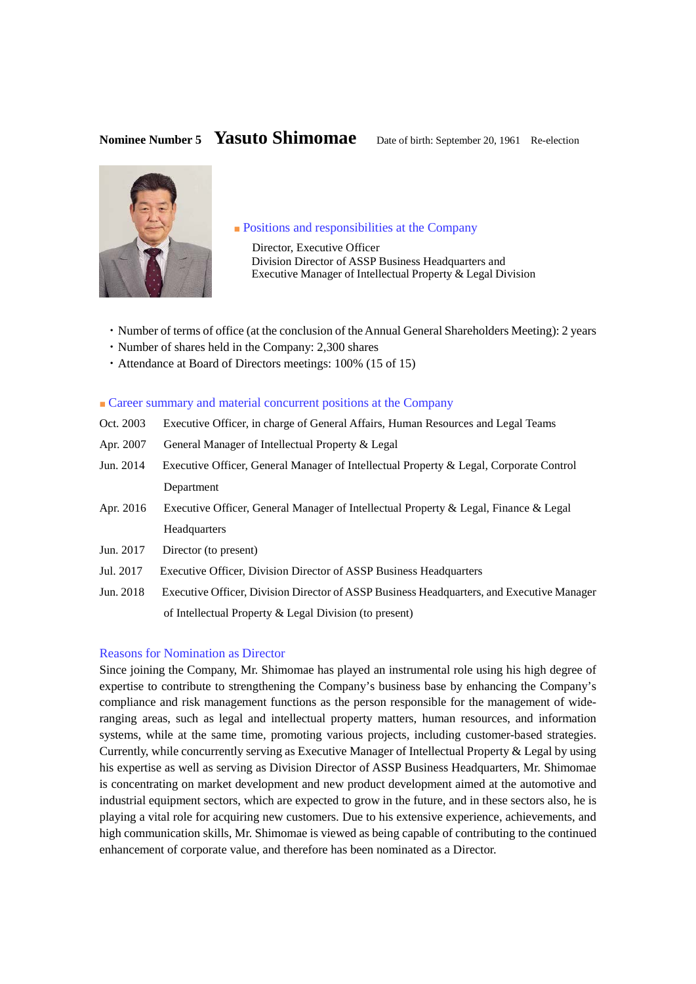# **Nominee Number 5** Yasuto Shimomae Date of birth: September 20, 1961 Re-election



# ■ Positions and responsibilities at the Company

Director, Executive Officer Division Director of ASSP Business Headquarters and Executive Manager of Intellectual Property & Legal Division

- ・Number of terms of office (at the conclusion of the Annual General Shareholders Meeting): 2 years
- ・Number of shares held in the Company: 2,300 shares
- ・Attendance at Board of Directors meetings: 100% (15 of 15)

### ■ Career summary and material concurrent positions at the Company

- Oct. 2003 Executive Officer, in charge of General Affairs, Human Resources and Legal Teams
- Apr. 2007 General Manager of Intellectual Property & Legal
- Jun. 2014 Executive Officer, General Manager of Intellectual Property & Legal, Corporate Control Department
- Apr. 2016 Executive Officer, General Manager of Intellectual Property & Legal, Finance & Legal Headquarters
- Jun. 2017 Director (to present)
- Jul. 2017 Executive Officer, Division Director of ASSP Business Headquarters
- Jun. 2018 Executive Officer, Division Director of ASSP Business Headquarters, and Executive Manager of Intellectual Property & Legal Division (to present)

#### Reasons for Nomination as Director

Since joining the Company, Mr. Shimomae has played an instrumental role using his high degree of expertise to contribute to strengthening the Company's business base by enhancing the Company's compliance and risk management functions as the person responsible for the management of wideranging areas, such as legal and intellectual property matters, human resources, and information systems, while at the same time, promoting various projects, including customer-based strategies. Currently, while concurrently serving as Executive Manager of Intellectual Property & Legal by using his expertise as well as serving as Division Director of ASSP Business Headquarters, Mr. Shimomae is concentrating on market development and new product development aimed at the automotive and industrial equipment sectors, which are expected to grow in the future, and in these sectors also, he is playing a vital role for acquiring new customers. Due to his extensive experience, achievements, and high communication skills, Mr. Shimomae is viewed as being capable of contributing to the continued enhancement of corporate value, and therefore has been nominated as a Director.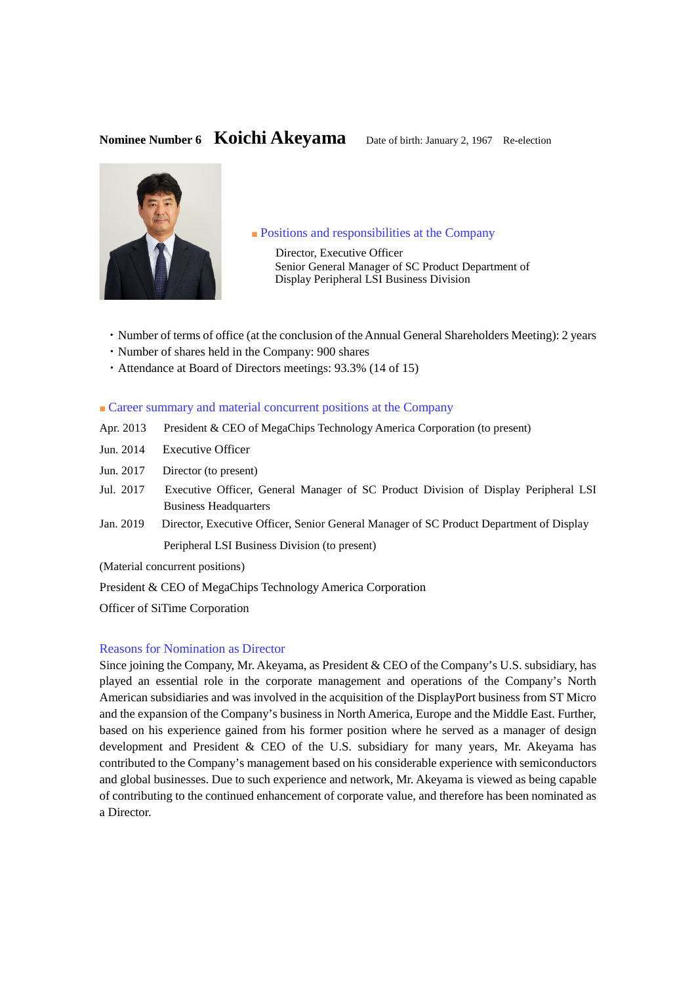# **Nominee Number 6 Koichi Akeyama** Date of birth: January 2, 1967 Re-election



#### ■ Positions and responsibilities at the Company

 Director, Executive Officer Senior General Manager of SC Product Department of Display Peripheral LSI Business Division

- ・Number of terms of office (at the conclusion of the Annual General Shareholders Meeting): 2 years
- ・Number of shares held in the Company: 900 shares
- ・Attendance at Board of Directors meetings: 93.3% (14 of 15)

# ■ Career summary and material concurrent positions at the Company

- Apr. 2013 President & CEO of MegaChips Technology America Corporation (to present)
- Jun. 2014 Executive Officer
- Jun. 2017 Director (to present)
- Jul. 2017 Executive Officer, General Manager of SC Product Division of Display Peripheral LSI Business Headquarters
- Jan. 2019 Director, Executive Officer, Senior General Manager of SC Product Department of Display Peripheral LSI Business Division (to present)

(Material concurrent positions)

President & CEO of MegaChips Technology America Corporation

Officer of SiTime Corporation

# Reasons for Nomination as Director

Since joining the Company, Mr. Akeyama, as President & CEO of the Company's U.S. subsidiary, has played an essential role in the corporate management and operations of the Company's North American subsidiaries and was involved in the acquisition of the DisplayPort business from ST Micro and the expansion of the Company's business in North America, Europe and the Middle East. Further, based on his experience gained from his former position where he served as a manager of design development and President & CEO of the U.S. subsidiary for many years, Mr. Akeyama has contributed to the Company's management based on his considerable experience with semiconductors and global businesses. Due to such experience and network, Mr. Akeyama is viewed as being capable of contributing to the continued enhancement of corporate value, and therefore has been nominated as a Director.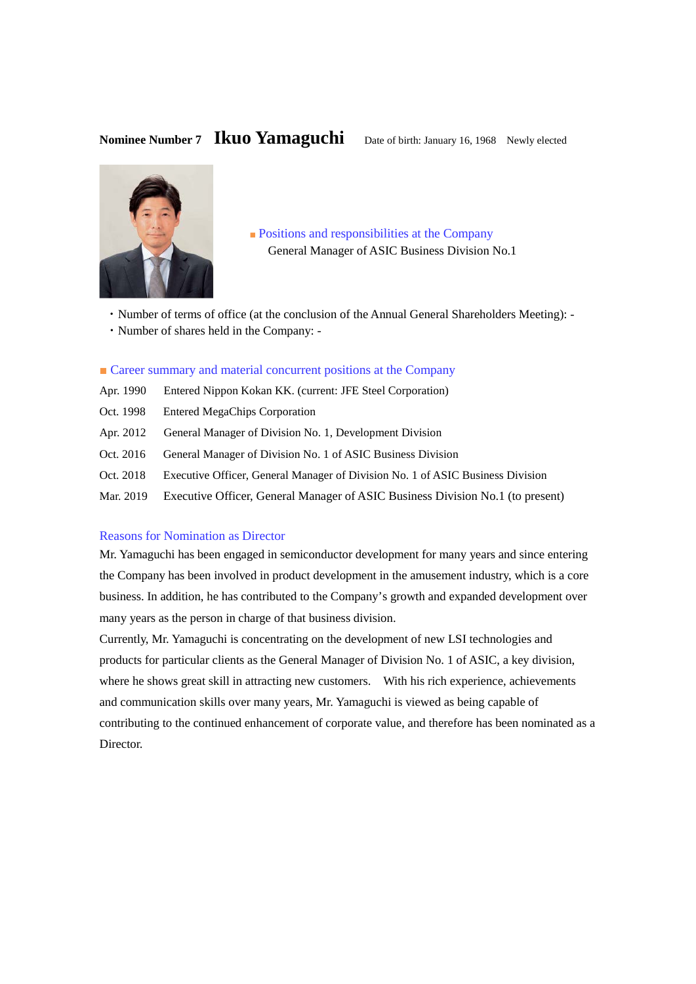# Nominee Number 7 **Ikuo Yamaguchi** Date of birth: January 16, 1968 Newly elected



■ Positions and responsibilities at the Company General Manager of ASIC Business Division No.1

- ・Number of terms of office (at the conclusion of the Annual General Shareholders Meeting): -
- ・Number of shares held in the Company: -

### ■ Career summary and material concurrent positions at the Company

- Apr. 1990 Entered Nippon Kokan KK. (current: JFE Steel Corporation)
- Oct. 1998 Entered MegaChips Corporation
- Apr. 2012 General Manager of Division No. 1, Development Division
- Oct. 2016 General Manager of Division No. 1 of ASIC Business Division
- Oct. 2018 Executive Officer, General Manager of Division No. 1 of ASIC Business Division
- Mar. 2019 Executive Officer, General Manager of ASIC Business Division No.1 (to present)

# Reasons for Nomination as Director

Mr. Yamaguchi has been engaged in semiconductor development for many years and since entering the Company has been involved in product development in the amusement industry, which is a core business. In addition, he has contributed to the Company's growth and expanded development over many years as the person in charge of that business division.

Currently, Mr. Yamaguchi is concentrating on the development of new LSI technologies and products for particular clients as the General Manager of Division No. 1 of ASIC, a key division, where he shows great skill in attracting new customers. With his rich experience, achievements and communication skills over many years, Mr. Yamaguchi is viewed as being capable of contributing to the continued enhancement of corporate value, and therefore has been nominated as a Director.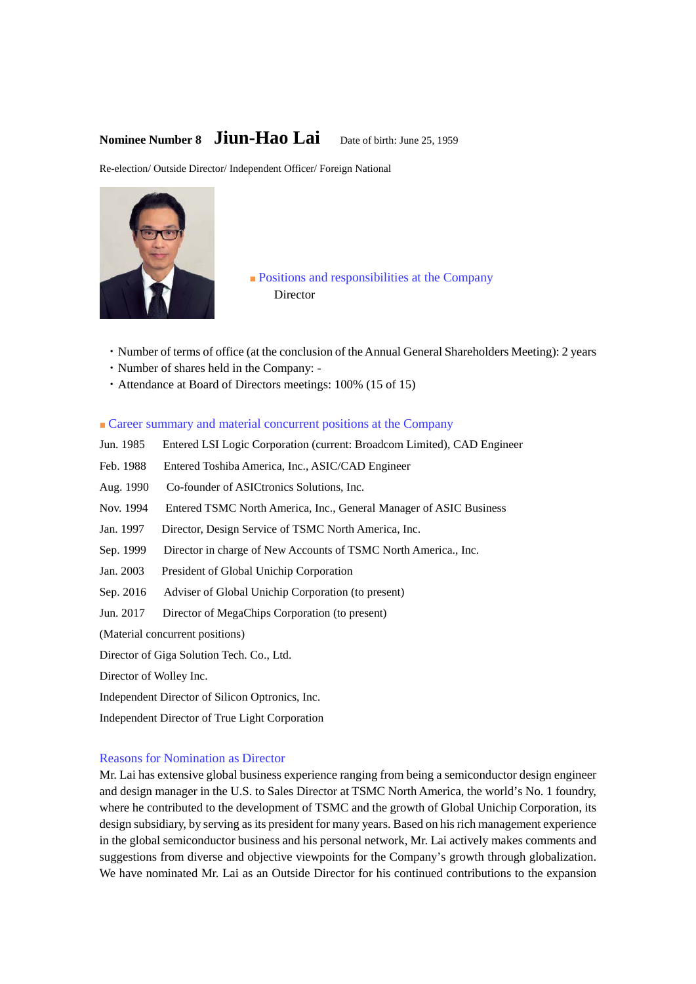# **Nominee Number 8 Jiun-Hao Lai** Date of birth: June 25, 1959

Re-election/ Outside Director/ Independent Officer/ Foreign National



# ■ Positions and responsibilities at the Company Director

- ・Number of terms of office (at the conclusion of the Annual General Shareholders Meeting): 2 years
- ・Number of shares held in the Company: -
- ・Attendance at Board of Directors meetings: 100% (15 of 15)
- Career summary and material concurrent positions at the Company
- Jun. 1985 Entered LSI Logic Corporation (current: Broadcom Limited), CAD Engineer
- Feb. 1988 Entered Toshiba America, Inc., ASIC/CAD Engineer
- Aug. 1990 Co-founder of ASICtronics Solutions, Inc.
- Nov. 1994 Entered TSMC North America, Inc., General Manager of ASIC Business
- Jan. 1997 Director, Design Service of TSMC North America, Inc.
- Sep. 1999 Director in charge of New Accounts of TSMC North America., Inc.
- Jan. 2003 President of Global Unichip Corporation
- Sep. 2016 Adviser of Global Unichip Corporation (to present)
- Jun. 2017 Director of MegaChips Corporation (to present)

(Material concurrent positions)

Director of Giga Solution Tech. Co., Ltd.

Director of Wolley Inc.

Independent Director of Silicon Optronics, Inc.

Independent Director of True Light Corporation

### Reasons for Nomination as Director

Mr. Lai has extensive global business experience ranging from being a semiconductor design engineer and design manager in the U.S. to Sales Director at TSMC North America, the world's No. 1 foundry, where he contributed to the development of TSMC and the growth of Global Unichip Corporation, its design subsidiary, by serving as its president for many years. Based on his rich management experience in the global semiconductor business and his personal network, Mr. Lai actively makes comments and suggestions from diverse and objective viewpoints for the Company's growth through globalization. We have nominated Mr. Lai as an Outside Director for his continued contributions to the expansion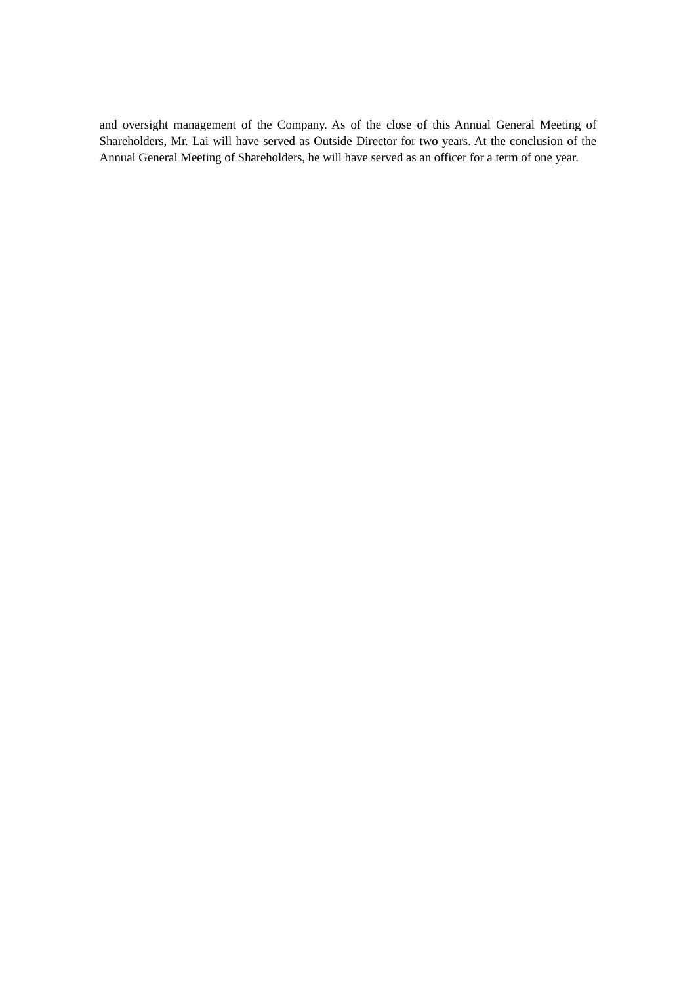and oversight management of the Company. As of the close of this Annual General Meeting of Shareholders, Mr. Lai will have served as Outside Director for two years. At the conclusion of the Annual General Meeting of Shareholders, he will have served as an officer for a term of one year.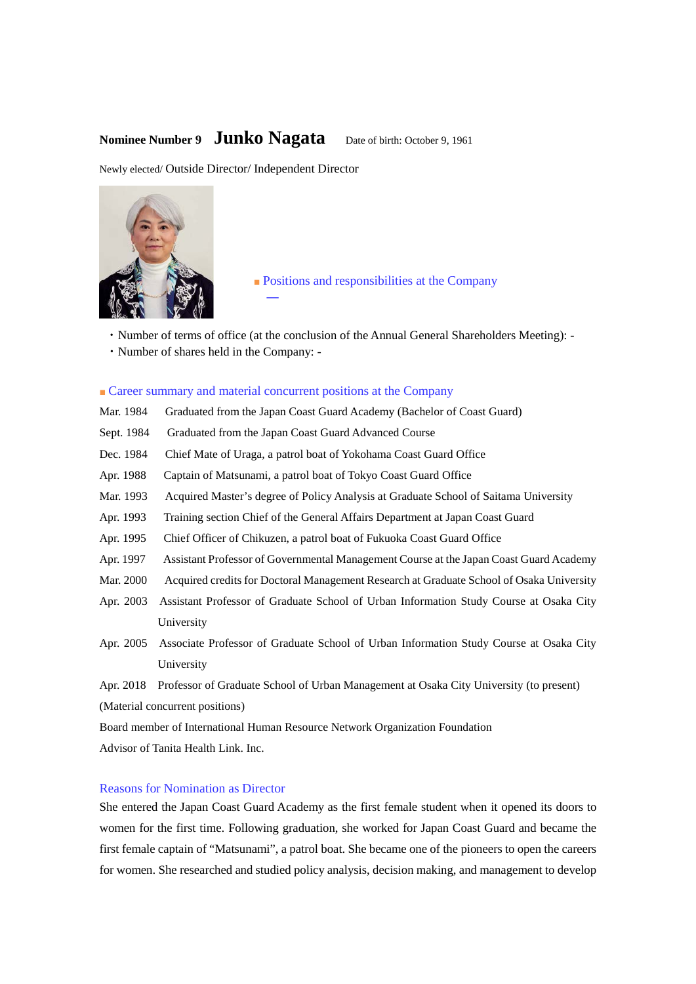# **Nominee Number 9 <b>Junko Nagata** Date of birth: October 9, 1961

Newly elected/ Outside Director/ Independent Director



■ Positions and responsibilities at the Company

- ・Number of terms of office (at the conclusion of the Annual General Shareholders Meeting): -
- ・Number of shares held in the Company: -

### ■ Career summary and material concurrent positions at the Company

―

- Mar. 1984 Graduated from the Japan Coast Guard Academy (Bachelor of Coast Guard)
- Sept. 1984 Graduated from the Japan Coast Guard Advanced Course
- Dec. 1984 Chief Mate of Uraga, a patrol boat of Yokohama Coast Guard Office
- Apr. 1988 Captain of Matsunami, a patrol boat of Tokyo Coast Guard Office
- Mar. 1993 Acquired Master's degree of Policy Analysis at Graduate School of Saitama University
- Apr. 1993 Training section Chief of the General Affairs Department at Japan Coast Guard
- Apr. 1995 Chief Officer of Chikuzen, a patrol boat of Fukuoka Coast Guard Office
- Apr. 1997 Assistant Professor of Governmental Management Course at the Japan Coast Guard Academy
- Mar. 2000 Acquired credits for Doctoral Management Research at Graduate School of Osaka University
- Apr. 2003 Assistant Professor of Graduate School of Urban Information Study Course at Osaka City University
- Apr. 2005 Associate Professor of Graduate School of Urban Information Study Course at Osaka City University
- Apr. 2018 Professor of Graduate School of Urban Management at Osaka City University (to present) (Material concurrent positions)

Board member of International Human Resource Network Organization Foundation Advisor of Tanita Health Link. Inc.

# Reasons for Nomination as Director

She entered the Japan Coast Guard Academy as the first female student when it opened its doors to women for the first time. Following graduation, she worked for Japan Coast Guard and became the first female captain of "Matsunami", a patrol boat. She became one of the pioneers to open the careers for women. She researched and studied policy analysis, decision making, and management to develop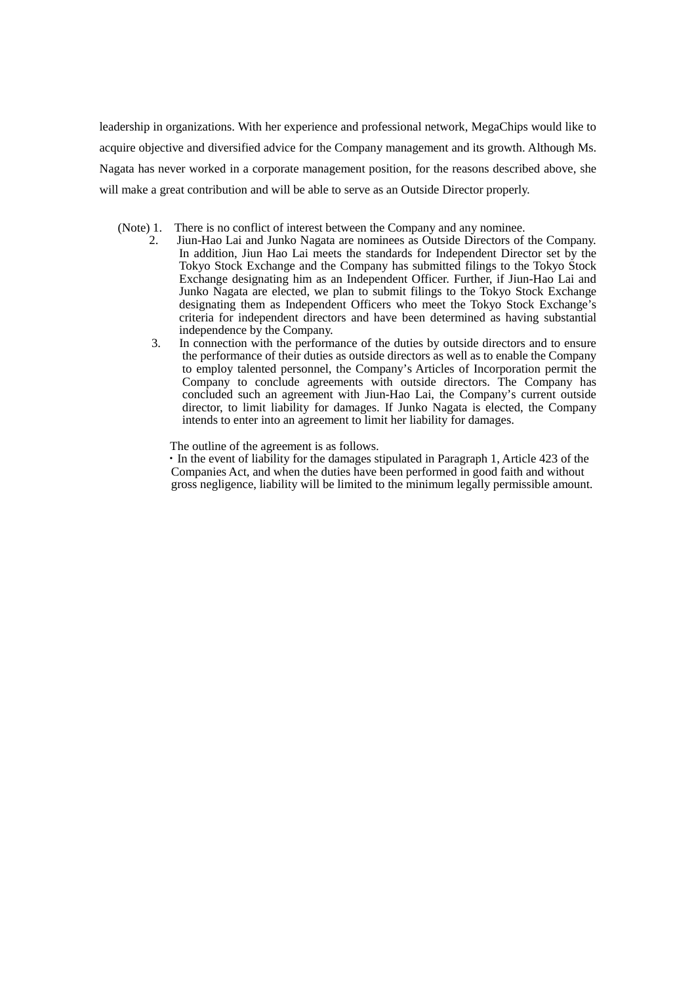leadership in organizations. With her experience and professional network, MegaChips would like to acquire objective and diversified advice for the Company management and its growth. Although Ms. Nagata has never worked in a corporate management position, for the reasons described above, she will make a great contribution and will be able to serve as an Outside Director properly.

(Note) 1. There is no conflict of interest between the Company and any nominee.<br>2. Iun-Hao Lai and Junko Nagata are nominees as Outside Directors of

- 2. Jiun-Hao Lai and Junko Nagata are nominees as Outside Directors of the Company. In addition, Jiun Hao Lai meets the standards for Independent Director set by the Tokyo Stock Exchange and the Company has submitted filings to the Tokyo Stock Exchange designating him as an Independent Officer. Further, if Jiun-Hao Lai and Junko Nagata are elected, we plan to submit filings to the Tokyo Stock Exchange designating them as Independent Officers who meet the Tokyo Stock Exchange's criteria for independent directors and have been determined as having substantial independence by the Company.
	- 3. In connection with the performance of the duties by outside directors and to ensure the performance of their duties as outside directors as well as to enable the Company to employ talented personnel, the Company's Articles of Incorporation permit the Company to conclude agreements with outside directors. The Company has concluded such an agreement with Jiun-Hao Lai, the Company's current outside director, to limit liability for damages. If Junko Nagata is elected, the Company intends to enter into an agreement to limit her liability for damages.

The outline of the agreement is as follows.

 ・In the event of liability for the damages stipulated in Paragraph 1, Article 423 of the Companies Act, and when the duties have been performed in good faith and without gross negligence, liability will be limited to the minimum legally permissible amount.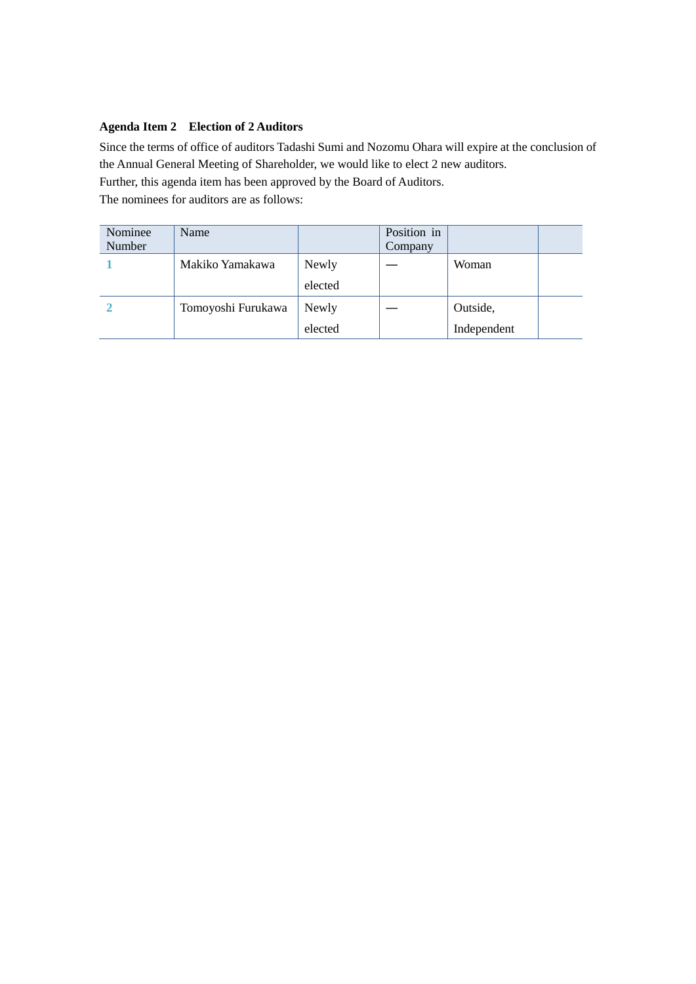# **Agenda Item 2 Election of 2 Auditors**

Since the terms of office of auditors Tadashi Sumi and Nozomu Ohara will expire at the conclusion of the Annual General Meeting of Shareholder, we would like to elect 2 new auditors.

Further, this agenda item has been approved by the Board of Auditors.

The nominees for auditors are as follows:

| Nominee<br>Number | Name               |         | Position in<br>Company |             |
|-------------------|--------------------|---------|------------------------|-------------|
|                   | Makiko Yamakawa    | Newly   |                        | Woman       |
|                   |                    | elected |                        |             |
|                   | Tomoyoshi Furukawa | Newly   |                        | Outside,    |
|                   |                    | elected |                        | Independent |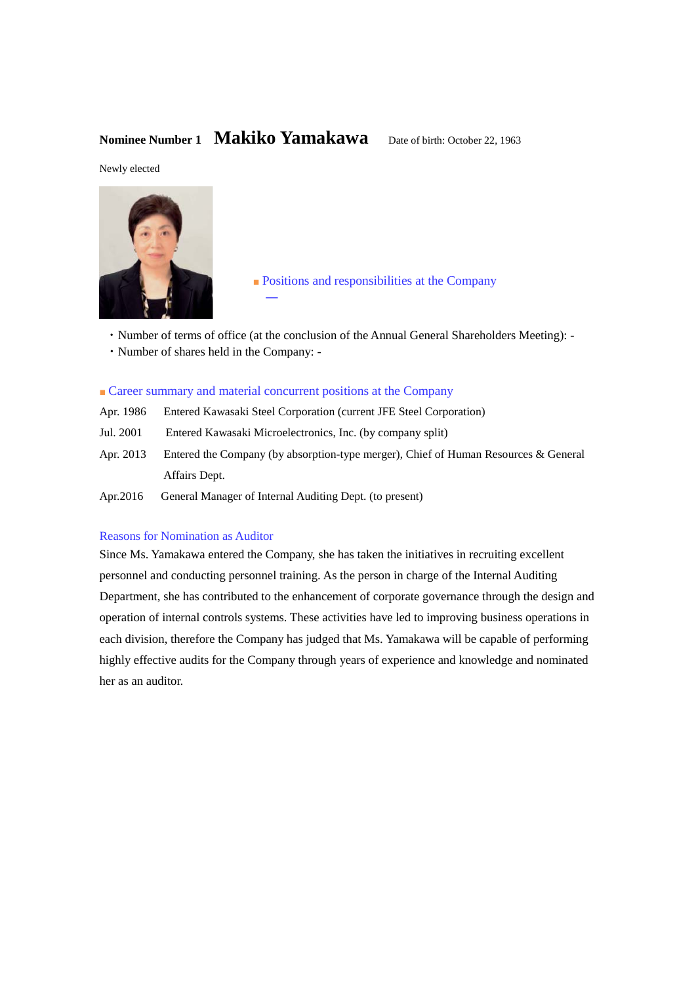# **Nominee Number 1 Makiko Yamakawa** Date of birth: October 22, 1963

Newly elected



■ Positions and responsibilities at the Company

- ・Number of terms of office (at the conclusion of the Annual General Shareholders Meeting): -
- ・Number of shares held in the Company: -

## ■ Career summary and material concurrent positions at the Company

―

- Apr. 1986 Entered Kawasaki Steel Corporation (current JFE Steel Corporation)
- Jul. 2001 Entered Kawasaki Microelectronics, Inc. (by company split)
- Apr. 2013 Entered the Company (by absorption-type merger), Chief of Human Resources & General Affairs Dept.
- Apr.2016 General Manager of Internal Auditing Dept. (to present)

# Reasons for Nomination as Auditor

Since Ms. Yamakawa entered the Company, she has taken the initiatives in recruiting excellent personnel and conducting personnel training. As the person in charge of the Internal Auditing Department, she has contributed to the enhancement of corporate governance through the design and operation of internal controls systems. These activities have led to improving business operations in each division, therefore the Company has judged that Ms. Yamakawa will be capable of performing highly effective audits for the Company through years of experience and knowledge and nominated her as an auditor.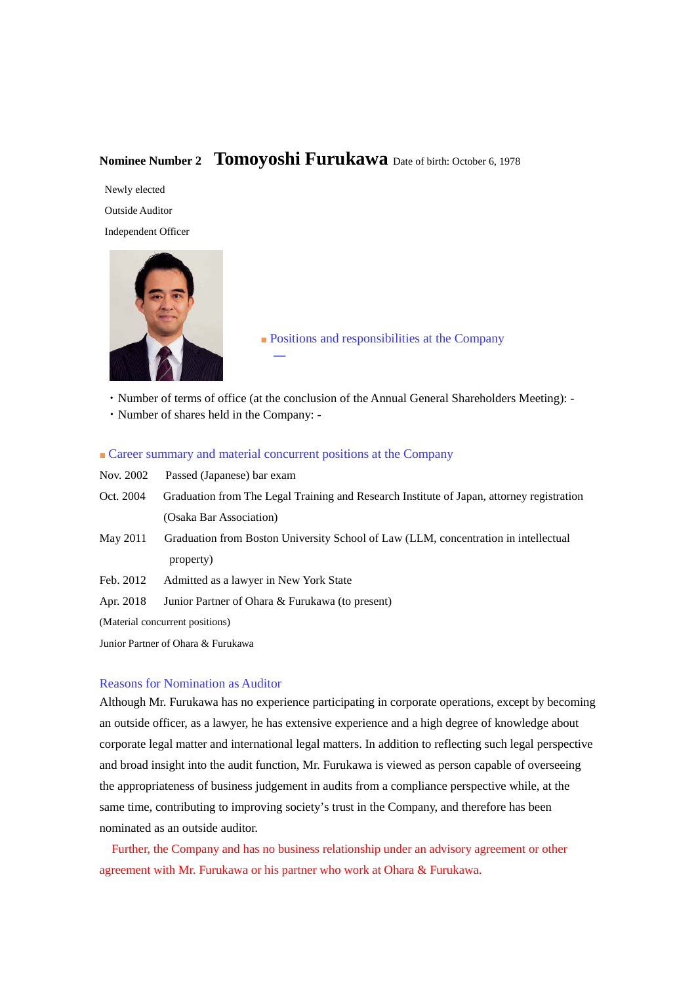# **Nominee Number 2 Tomoyoshi Furukawa** Date of birth: October 6, 1978

Newly elected Outside Auditor Independent Officer



■ Positions and responsibilities at the Company

・Number of terms of office (at the conclusion of the Annual General Shareholders Meeting): -

・Number of shares held in the Company: -

■ Career summary and material concurrent positions at the Company

―

| Nov. 2002                       | Passed (Japanese) bar exam                                                                |  |  |
|---------------------------------|-------------------------------------------------------------------------------------------|--|--|
| Oct. 2004                       | Graduation from The Legal Training and Research Institute of Japan, attorney registration |  |  |
|                                 | (Osaka Bar Association)                                                                   |  |  |
| May 2011                        | Graduation from Boston University School of Law (LLM, concentration in intellectual       |  |  |
|                                 | property)                                                                                 |  |  |
| Feb. 2012                       | Admitted as a lawyer in New York State                                                    |  |  |
| Apr. 2018                       | Junior Partner of Ohara & Furukawa (to present)                                           |  |  |
| (Material concurrent positions) |                                                                                           |  |  |

Junior Partner of Ohara & Furukawa

# Reasons for Nomination as Auditor

Although Mr. Furukawa has no experience participating in corporate operations, except by becoming an outside officer, as a lawyer, he has extensive experience and a high degree of knowledge about corporate legal matter and international legal matters. In addition to reflecting such legal perspective and broad insight into the audit function, Mr. Furukawa is viewed as person capable of overseeing the appropriateness of business judgement in audits from a compliance perspective while, at the same time, contributing to improving society's trust in the Company, and therefore has been nominated as an outside auditor.

Further, the Company and has no business relationship under an advisory agreement or other agreement with Mr. Furukawa or his partner who work at Ohara & Furukawa.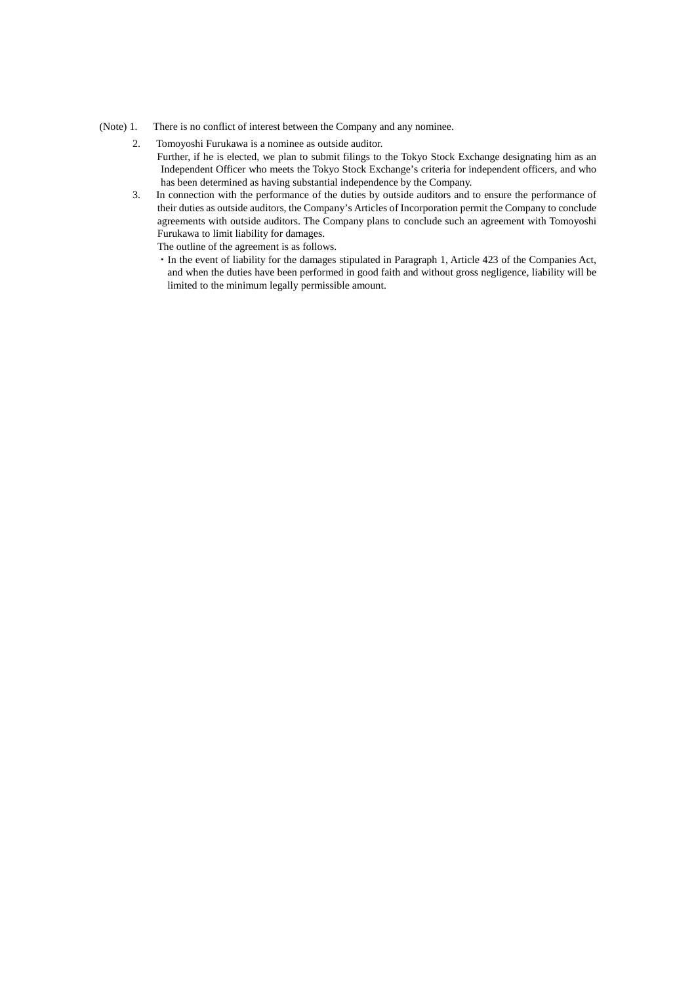#### (Note) 1. There is no conflict of interest between the Company and any nominee.

- 2. Tomoyoshi Furukawa is a nominee as outside auditor.
	- Further, if he is elected, we plan to submit filings to the Tokyo Stock Exchange designating him as an Independent Officer who meets the Tokyo Stock Exchange's criteria for independent officers, and who has been determined as having substantial independence by the Company.
- 3. In connection with the performance of the duties by outside auditors and to ensure the performance of their duties as outside auditors, the Company's Articles of Incorporation permit the Company to conclude agreements with outside auditors. The Company plans to conclude such an agreement with Tomoyoshi Furukawa to limit liability for damages.

The outline of the agreement is as follows.

・In the event of liability for the damages stipulated in Paragraph 1, Article 423 of the Companies Act, and when the duties have been performed in good faith and without gross negligence, liability will be limited to the minimum legally permissible amount.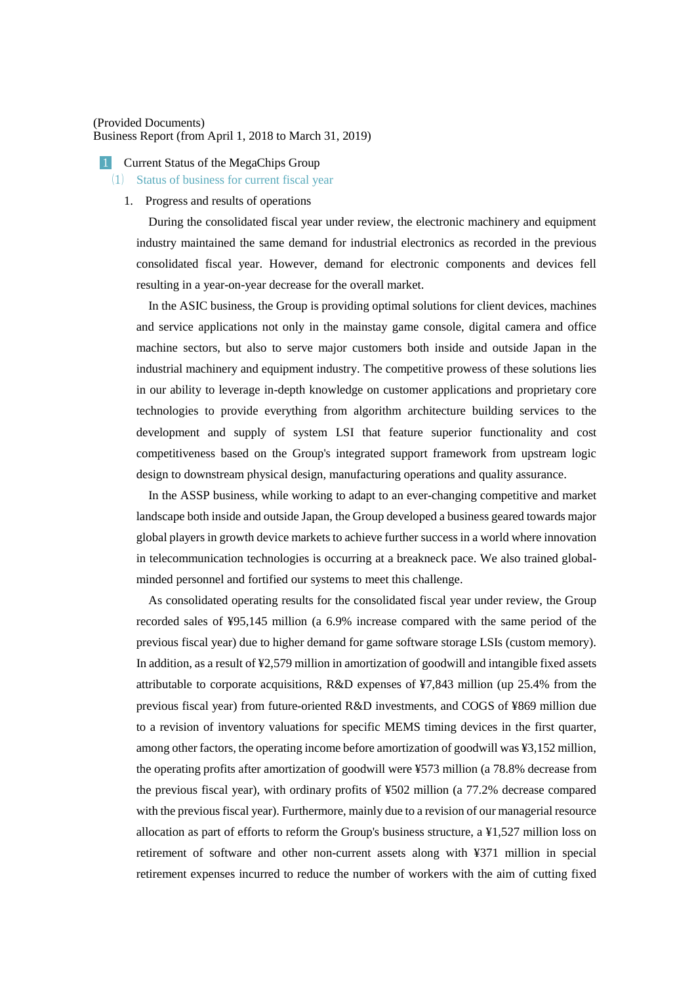### (Provided Documents) Business Report (from April 1, 2018 to March 31, 2019)

#### **1** Current Status of the MegaChips Group

#### ⑴ Status of business for current fiscal year

#### 1. Progress and results of operations

During the consolidated fiscal year under review, the electronic machinery and equipment industry maintained the same demand for industrial electronics as recorded in the previous consolidated fiscal year. However, demand for electronic components and devices fell resulting in a year-on-year decrease for the overall market.

In the ASIC business, the Group is providing optimal solutions for client devices, machines and service applications not only in the mainstay game console, digital camera and office machine sectors, but also to serve major customers both inside and outside Japan in the industrial machinery and equipment industry. The competitive prowess of these solutions lies in our ability to leverage in-depth knowledge on customer applications and proprietary core technologies to provide everything from algorithm architecture building services to the development and supply of system LSI that feature superior functionality and cost competitiveness based on the Group's integrated support framework from upstream logic design to downstream physical design, manufacturing operations and quality assurance.

In the ASSP business, while working to adapt to an ever-changing competitive and market landscape both inside and outside Japan, the Group developed a business geared towards major global players in growth device markets to achieve further success in a world where innovation in telecommunication technologies is occurring at a breakneck pace. We also trained globalminded personnel and fortified our systems to meet this challenge.

As consolidated operating results for the consolidated fiscal year under review, the Group recorded sales of ¥95,145 million (a 6.9% increase compared with the same period of the previous fiscal year) due to higher demand for game software storage LSIs (custom memory). In addition, as a result of ¥2,579 million in amortization of goodwill and intangible fixed assets attributable to corporate acquisitions, R&D expenses of ¥7,843 million (up 25.4% from the previous fiscal year) from future-oriented R&D investments, and COGS of ¥869 million due to a revision of inventory valuations for specific MEMS timing devices in the first quarter, among other factors, the operating income before amortization of goodwill was ¥3,152 million, the operating profits after amortization of goodwill were ¥573 million (a 78.8% decrease from the previous fiscal year), with ordinary profits of ¥502 million (a 77.2% decrease compared with the previous fiscal year). Furthermore, mainly due to a revision of our managerial resource allocation as part of efforts to reform the Group's business structure, a ¥1,527 million loss on retirement of software and other non-current assets along with ¥371 million in special retirement expenses incurred to reduce the number of workers with the aim of cutting fixed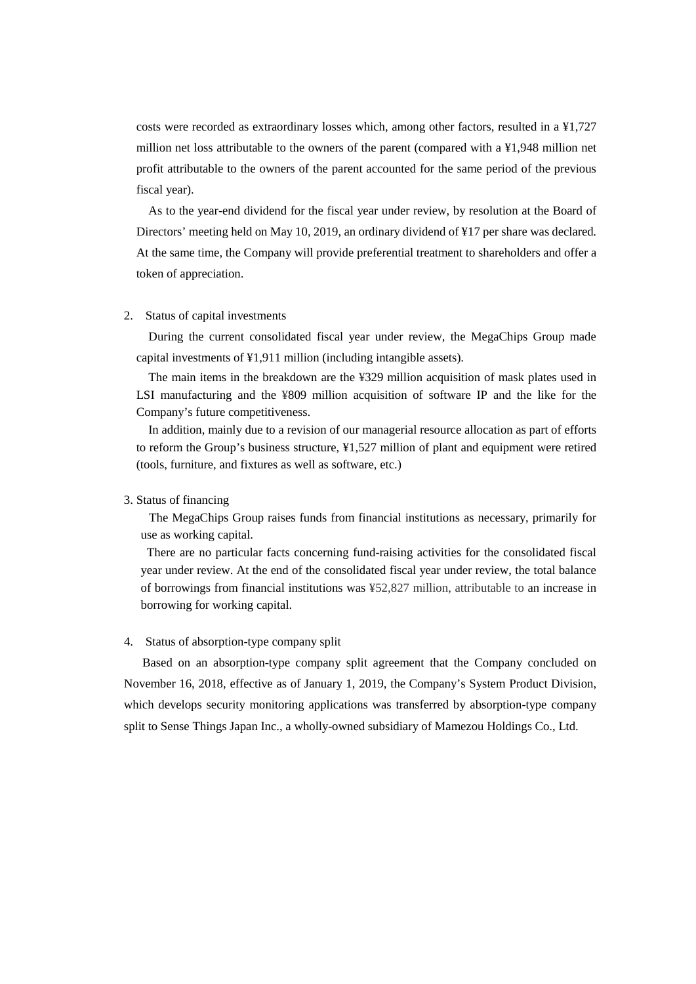costs were recorded as extraordinary losses which, among other factors, resulted in a ¥1,727 million net loss attributable to the owners of the parent (compared with a ¥1,948 million net profit attributable to the owners of the parent accounted for the same period of the previous fiscal year).

As to the year-end dividend for the fiscal year under review, by resolution at the Board of Directors' meeting held on May 10, 2019, an ordinary dividend of ¥17 per share was declared. At the same time, the Company will provide preferential treatment to shareholders and offer a token of appreciation.

### 2. Status of capital investments

During the current consolidated fiscal year under review, the MegaChips Group made capital investments of ¥1,911 million (including intangible assets).

The main items in the breakdown are the ¥329 million acquisition of mask plates used in LSI manufacturing and the ¥809 million acquisition of software IP and the like for the Company's future competitiveness.

In addition, mainly due to a revision of our managerial resource allocation as part of efforts to reform the Group's business structure, ¥1,527 million of plant and equipment were retired (tools, furniture, and fixtures as well as software, etc.)

# 3. Status of financing

The MegaChips Group raises funds from financial institutions as necessary, primarily for use as working capital.

There are no particular facts concerning fund-raising activities for the consolidated fiscal year under review. At the end of the consolidated fiscal year under review, the total balance of borrowings from financial institutions was ¥52,827 million, attributable to an increase in borrowing for working capital.

#### 4. Status of absorption-type company split

 Based on an absorption-type company split agreement that the Company concluded on November 16, 2018, effective as of January 1, 2019, the Company's System Product Division, which develops security monitoring applications was transferred by absorption-type company split to Sense Things Japan Inc., a wholly-owned subsidiary of Mamezou Holdings Co., Ltd.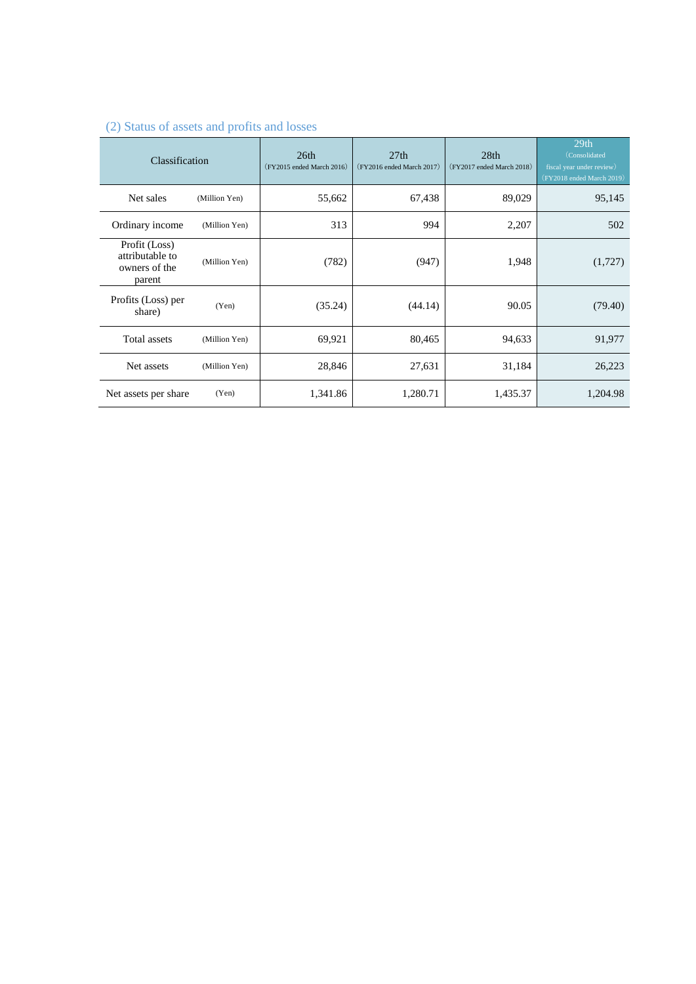| Classification                                              |               | 26th<br>$(FY2015 \text{ ended March } 2016)$ | 27th<br>$(FY2016 \text{ ended March } 2017)$ | 28th<br>$(FY2017 \text{ ended March } 2018)$ | 29th<br>(Consolidated<br>fiscal year under review)<br>(FY2018 ended March 2019) |
|-------------------------------------------------------------|---------------|----------------------------------------------|----------------------------------------------|----------------------------------------------|---------------------------------------------------------------------------------|
| Net sales                                                   | (Million Yen) | 55,662                                       | 67,438                                       | 89,029                                       | 95,145                                                                          |
| Ordinary income                                             | (Million Yen) | 313                                          | 994                                          | 2,207                                        | 502                                                                             |
| Profit (Loss)<br>attributable to<br>owners of the<br>parent | (Million Yen) | (782)                                        | (947)                                        | 1,948                                        | (1,727)                                                                         |
| Profits (Loss) per<br>share)                                | (Yen)         | (35.24)                                      | (44.14)                                      | 90.05                                        | (79.40)                                                                         |
| Total assets                                                | (Million Yen) | 69,921                                       | 80,465                                       | 94,633                                       | 91,977                                                                          |
| Net assets                                                  | (Million Yen) | 28,846                                       | 27,631                                       | 31,184                                       | 26,223                                                                          |
| Net assets per share                                        | (Yen)         | 1,341.86                                     | 1,280.71                                     | 1,435.37                                     | 1,204.98                                                                        |

# (2) Status of assets and profits and losses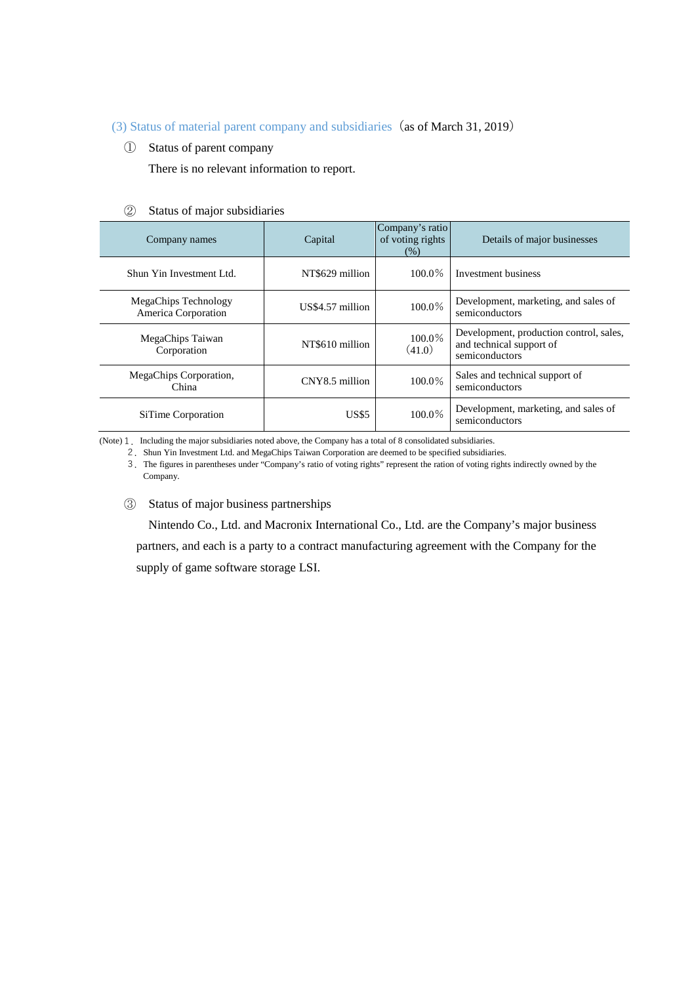# (3) Status of material parent company and subsidiaries (as of March 31, 2019)

① Status of parent company

There is no relevant information to report.

### ② Status of major subsidiaries

| Company names                                      | Capital          | Company's ratio<br>of voting rights<br>(% ) | Details of major businesses                                                           |
|----------------------------------------------------|------------------|---------------------------------------------|---------------------------------------------------------------------------------------|
| Shun Yin Investment Ltd.                           | NT\$629 million  | $100.0\%$                                   | Investment business                                                                   |
| <b>MegaChips Technology</b><br>America Corporation | US\$4.57 million | 100.0%                                      | Development, marketing, and sales of<br>semiconductors                                |
| MegaChips Taiwan<br>Corporation                    | NT\$610 million  | 100.0%<br>(41.0)                            | Development, production control, sales,<br>and technical support of<br>semiconductors |
| MegaChips Corporation,<br>China                    | CNY8.5 million   | 100.0%                                      | Sales and technical support of<br>semiconductors                                      |
| SiTime Corporation                                 | <b>US\$5</b>     | 100.0%                                      | Development, marketing, and sales of<br>semiconductors                                |

(Note) 1. Including the major subsidiaries noted above, the Company has a total of 8 consolidated subsidiaries.

2.Shun Yin Investment Ltd. and MegaChips Taiwan Corporation are deemed to be specified subsidiaries.

3.The figures in parentheses under "Company's ratio of voting rights" represent the ration of voting rights indirectly owned by the Company.

③ Status of major business partnerships

Nintendo Co., Ltd. and Macronix International Co., Ltd. are the Company's major business partners, and each is a party to a contract manufacturing agreement with the Company for the supply of game software storage LSI.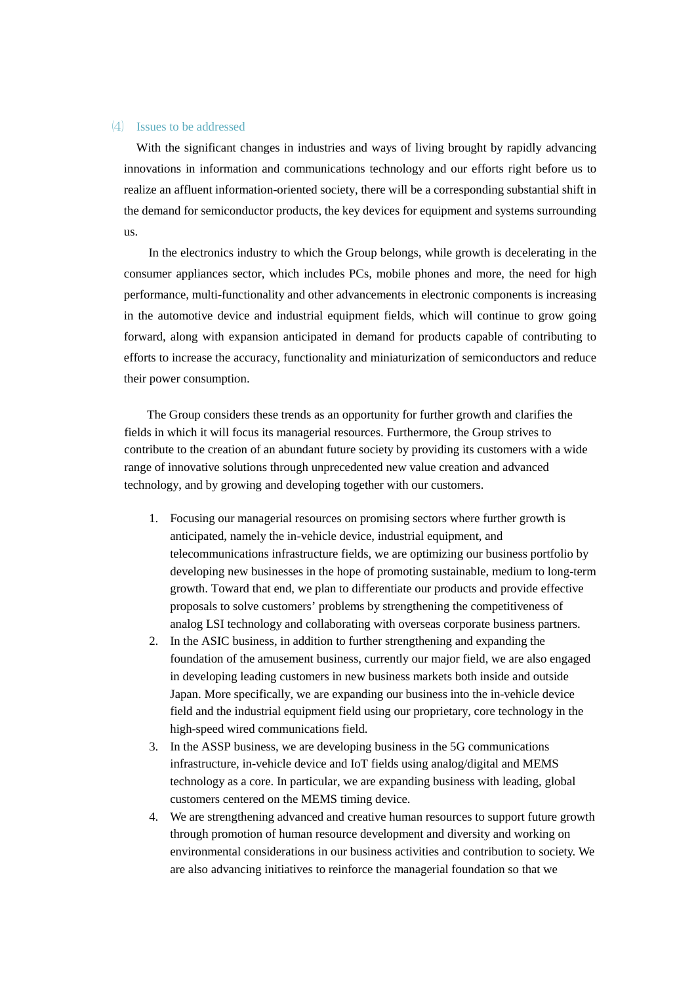### ⑷ Issues to be addressed

With the significant changes in industries and ways of living brought by rapidly advancing innovations in information and communications technology and our efforts right before us to realize an affluent information-oriented society, there will be a corresponding substantial shift in the demand for semiconductor products, the key devices for equipment and systems surrounding us.

 In the electronics industry to which the Group belongs, while growth is decelerating in the consumer appliances sector, which includes PCs, mobile phones and more, the need for high performance, multi-functionality and other advancements in electronic components is increasing in the automotive device and industrial equipment fields, which will continue to grow going forward, along with expansion anticipated in demand for products capable of contributing to efforts to increase the accuracy, functionality and miniaturization of semiconductors and reduce their power consumption.

The Group considers these trends as an opportunity for further growth and clarifies the fields in which it will focus its managerial resources. Furthermore, the Group strives to contribute to the creation of an abundant future society by providing its customers with a wide range of innovative solutions through unprecedented new value creation and advanced technology, and by growing and developing together with our customers.

- 1. Focusing our managerial resources on promising sectors where further growth is anticipated, namely the in-vehicle device, industrial equipment, and telecommunications infrastructure fields, we are optimizing our business portfolio by developing new businesses in the hope of promoting sustainable, medium to long-term growth. Toward that end, we plan to differentiate our products and provide effective proposals to solve customers' problems by strengthening the competitiveness of analog LSI technology and collaborating with overseas corporate business partners.
- 2. In the ASIC business, in addition to further strengthening and expanding the foundation of the amusement business, currently our major field, we are also engaged in developing leading customers in new business markets both inside and outside Japan. More specifically, we are expanding our business into the in-vehicle device field and the industrial equipment field using our proprietary, core technology in the high-speed wired communications field.
- 3. In the ASSP business, we are developing business in the 5G communications infrastructure, in-vehicle device and IoT fields using analog/digital and MEMS technology as a core. In particular, we are expanding business with leading, global customers centered on the MEMS timing device.
- 4. We are strengthening advanced and creative human resources to support future growth through promotion of human resource development and diversity and working on environmental considerations in our business activities and contribution to society. We are also advancing initiatives to reinforce the managerial foundation so that we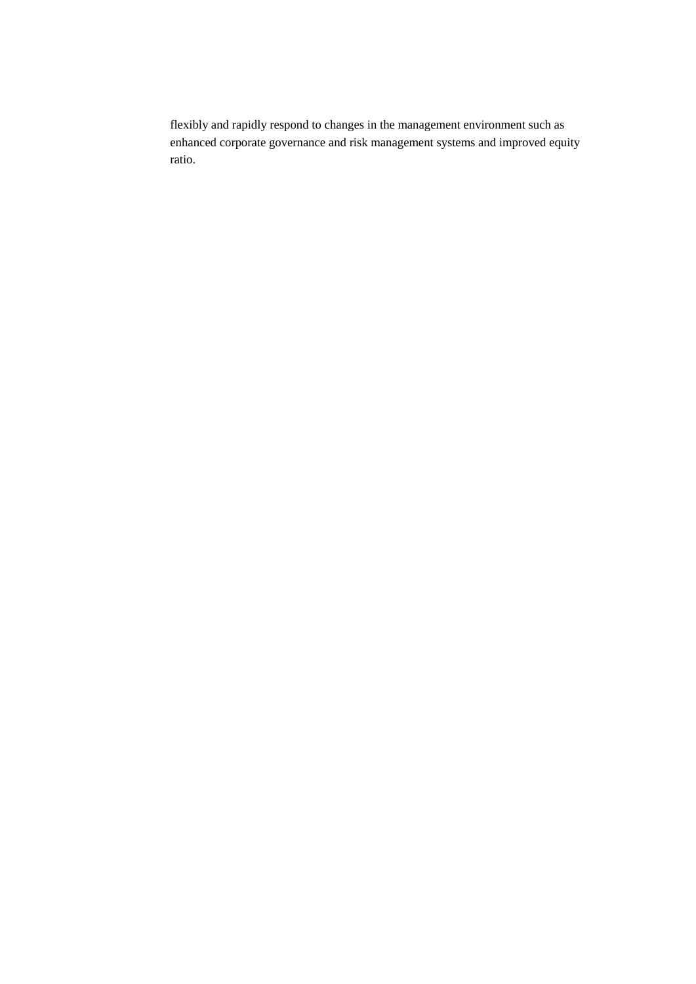flexibly and rapidly respond to changes in the management environment such as enhanced corporate governance and risk management systems and improved equity ratio.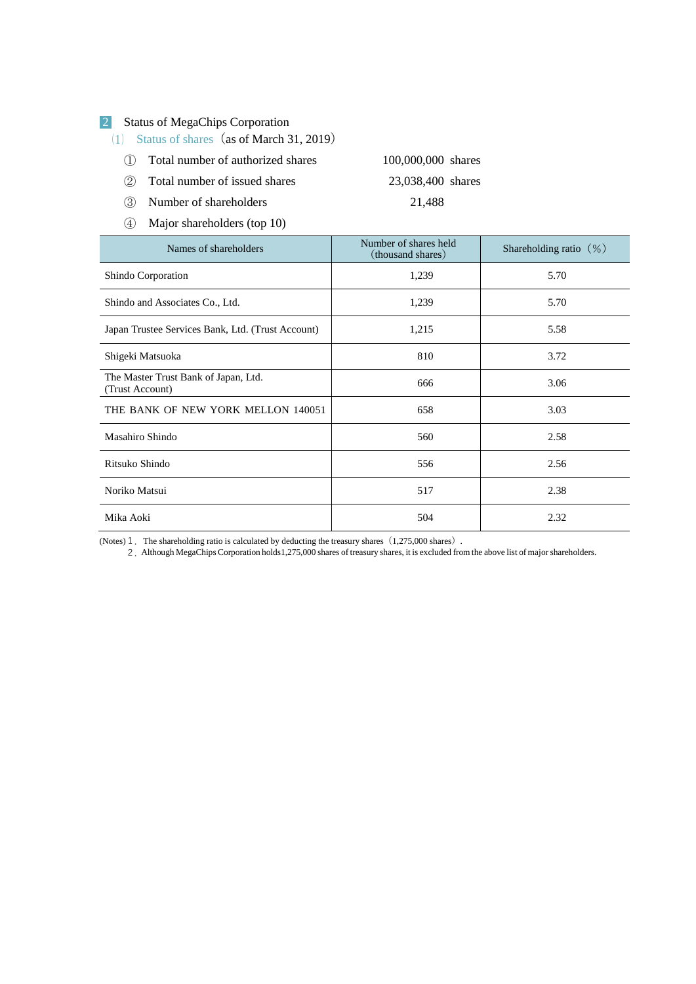# 2 Status of MegaChips Corporation

(1) Status of shares (as of March 31, 2019)

- ① Total number of authorized shares 100,000,000 shares
- ② Total number of issued shares 23,038,400 shares
- ③ Number of shareholders 21,488
- ④ Major shareholders (top 10)

| Names of shareholders                                   | Number of shares held<br>(thousand shares) | Shareholding ratio $(\%)$ |
|---------------------------------------------------------|--------------------------------------------|---------------------------|
| Shindo Corporation                                      | 1,239                                      | 5.70                      |
| Shindo and Associates Co., Ltd.                         | 1,239                                      | 5.70                      |
| Japan Trustee Services Bank, Ltd. (Trust Account)       | 1,215                                      | 5.58                      |
| Shigeki Matsuoka                                        | 810                                        | 3.72                      |
| The Master Trust Bank of Japan, Ltd.<br>(Trust Account) | 666                                        | 3.06                      |
| THE BANK OF NEW YORK MELLON 140051                      | 658                                        | 3.03                      |
| Masahiro Shindo                                         | 560                                        | 2.58                      |
| Ritsuko Shindo                                          | 556                                        | 2.56                      |
| Noriko Matsui                                           | 517                                        | 2.38                      |
| Mika Aoki                                               | 504                                        | 2.32                      |

(Notes)  $1$ . The shareholding ratio is calculated by deducting the treasury shares  $(1,275,000$  shares).

2.Although MegaChips Corporation holds1,275,000 shares of treasury shares, it is excluded from the above list of major shareholders.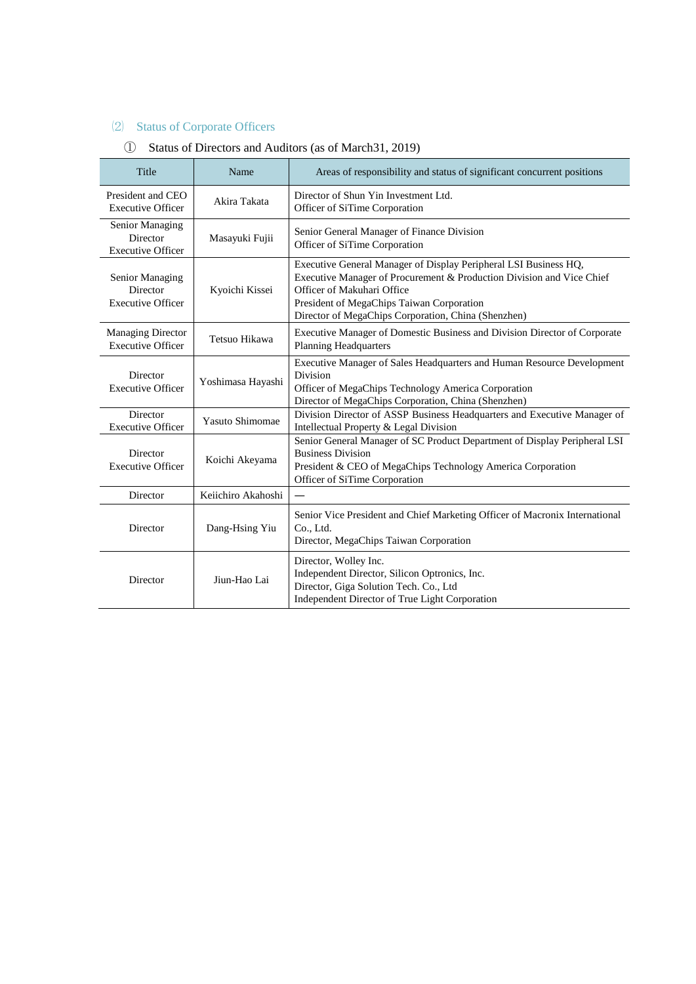# ⑵ Status of Corporate Officers

# ① Status of Directors and Auditors (as of March31, 2019)

| Title                                                                     | Name               | Areas of responsibility and status of significant concurrent positions                                                                                                                                                                                                      |  |  |
|---------------------------------------------------------------------------|--------------------|-----------------------------------------------------------------------------------------------------------------------------------------------------------------------------------------------------------------------------------------------------------------------------|--|--|
| President and CEO<br>Akira Takata<br><b>Executive Officer</b>             |                    | Director of Shun Yin Investment Ltd.<br>Officer of SiTime Corporation                                                                                                                                                                                                       |  |  |
| Senior Managing<br>Director<br><b>Executive Officer</b>                   | Masayuki Fujii     | Senior General Manager of Finance Division<br>Officer of SiTime Corporation                                                                                                                                                                                                 |  |  |
| Senior Managing<br>Director<br>Kyoichi Kissei<br><b>Executive Officer</b> |                    | Executive General Manager of Display Peripheral LSI Business HQ,<br>Executive Manager of Procurement & Production Division and Vice Chief<br>Officer of Makuhari Office<br>President of MegaChips Taiwan Corporation<br>Director of MegaChips Corporation, China (Shenzhen) |  |  |
| <b>Managing Director</b><br><b>Executive Officer</b>                      | Tetsuo Hikawa      | Executive Manager of Domestic Business and Division Director of Corporate<br><b>Planning Headquarters</b>                                                                                                                                                                   |  |  |
| Director<br><b>Executive Officer</b>                                      | Yoshimasa Hayashi  | Executive Manager of Sales Headquarters and Human Resource Development<br>Division<br>Officer of MegaChips Technology America Corporation<br>Director of MegaChips Corporation, China (Shenzhen)                                                                            |  |  |
| Director<br>Yasuto Shimomae<br><b>Executive Officer</b>                   |                    | Division Director of ASSP Business Headquarters and Executive Manager of<br>Intellectual Property & Legal Division                                                                                                                                                          |  |  |
| Director<br>Koichi Akeyama<br><b>Executive Officer</b>                    |                    | Senior General Manager of SC Product Department of Display Peripheral LSI<br><b>Business Division</b><br>President & CEO of MegaChips Technology America Corporation<br>Officer of SiTime Corporation                                                                       |  |  |
| Director                                                                  | Keiichiro Akahoshi |                                                                                                                                                                                                                                                                             |  |  |
| Director                                                                  | Dang-Hsing Yiu     | Senior Vice President and Chief Marketing Officer of Macronix International<br>Co., Ltd.<br>Director, MegaChips Taiwan Corporation                                                                                                                                          |  |  |
| Director                                                                  | Jiun-Hao Lai       | Director, Wolley Inc.<br>Independent Director, Silicon Optronics, Inc.<br>Director, Giga Solution Tech. Co., Ltd<br>Independent Director of True Light Corporation                                                                                                          |  |  |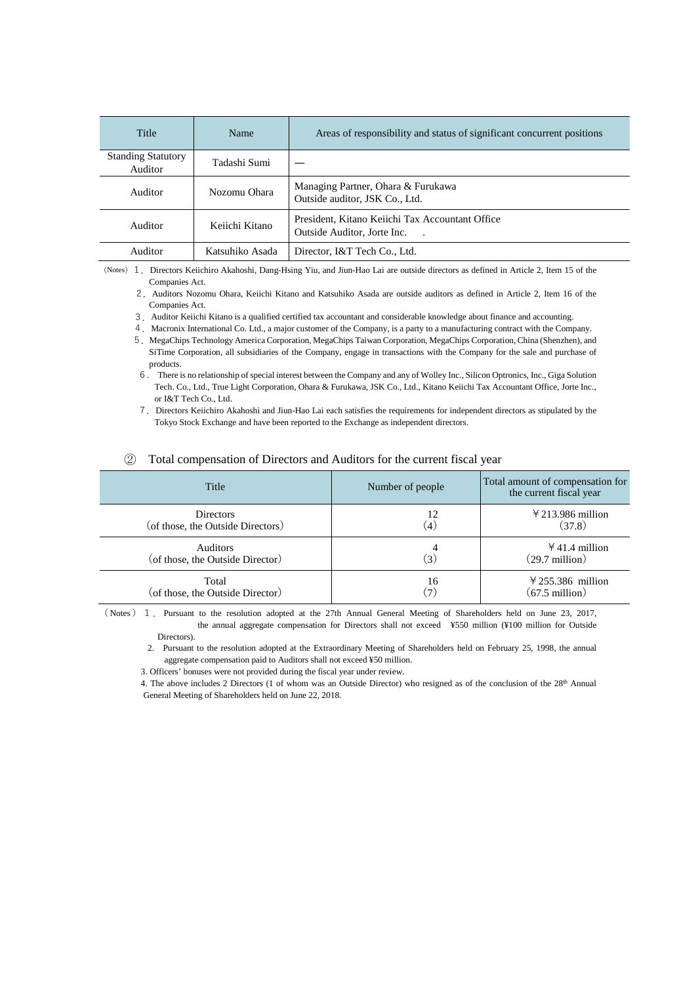| Title                                | Name            | Areas of responsibility and status of significant concurrent positions         |  |
|--------------------------------------|-----------------|--------------------------------------------------------------------------------|--|
| <b>Standing Statutory</b><br>Auditor | Tadashi Sumi    |                                                                                |  |
| Auditor                              | Nozomu Ohara    | Managing Partner, Ohara & Furukawa<br>Outside auditor, JSK Co., Ltd.           |  |
| Auditor<br>Keiichi Kitano            |                 | President, Kitano Keiichi Tax Accountant Office<br>Outside Auditor, Jorte Inc. |  |
| Auditor                              | Katsuhiko Asada | Director, I&T Tech Co., Ltd.                                                   |  |

(Notes)1.Directors Keiichiro Akahoshi, Dang-Hsing Yiu, and Jiun-Hao Lai are outside directors as defined in Article 2, Item 15 of the Companies Act.

 2.Auditors Nozomu Ohara, Keiichi Kitano and Katsuhiko Asada are outside auditors as defined in Article 2, Item 16 of the Companies Act.

3.Auditor Keiichi Kitano is a qualified certified tax accountant and considerable knowledge about finance and accounting.

4.Macronix International Co. Ltd., a major customer of the Company, is a party to a manufacturing contract with the Company.

- 5.MegaChips Technology America Corporation, MegaChips Taiwan Corporation, MegaChips Corporation, China (Shenzhen), and SiTime Corporation, all subsidiaries of the Company, engage in transactions with the Company for the sale and purchase of products.
- 6. There is no relationship of special interest between the Company and any of Wolley Inc., Silicon Optronics, Inc., Giga Solution Tech. Co., Ltd., True Light Corporation, Ohara & Furukawa, JSK Co., Ltd., Kitano Keiichi Tax Accountant Office, Jorte Inc., or I&T Tech Co., Ltd.

7.Directors Keiichiro Akahoshi and Jiun-Hao Lai each satisfies the requirements for independent directors as stipulated by the Tokyo Stock Exchange and have been reported to the Exchange as independent directors.

#### ② Total compensation of Directors and Auditors for the current fiscal year

| Title                                               | Number of people | Total amount of compensation for<br>the current fiscal year |
|-----------------------------------------------------|------------------|-------------------------------------------------------------|
| <b>Directors</b>                                    | 12               | $4213.986$ million                                          |
| (of those, the Outside Directors)                   | $\left[4\right]$ | (37.8)                                                      |
| <b>Auditors</b><br>(of those, the Outside Director) | (3)              | $41.4$ million<br>$(29.7 \text{ million})$                  |
| Total                                               | 16               | $4255.386$ million                                          |
| (of those, the Outside Director)                    | <u>ד</u>         | $(67.5 \text{ million})$                                    |

( Notes ) 1. Pursuant to the resolution adopted at the 27th Annual General Meeting of Shareholders held on June 23, 2017, the annual aggregate compensation for Directors shall not exceed ¥550 million (¥100 million for Outside Directors).

2. Pursuant to the resolution adopted at the Extraordinary Meeting of Shareholders held on February 25, 1998, the annual aggregate compensation paid to Auditors shall not exceed ¥50 million.

3. Officers' bonuses were not provided during the fiscal year under review.

4. The above includes 2 Directors (1 of whom was an Outside Director) who resigned as of the conclusion of the 28<sup>th</sup> Annual General Meeting of Shareholders held on June 22, 2018.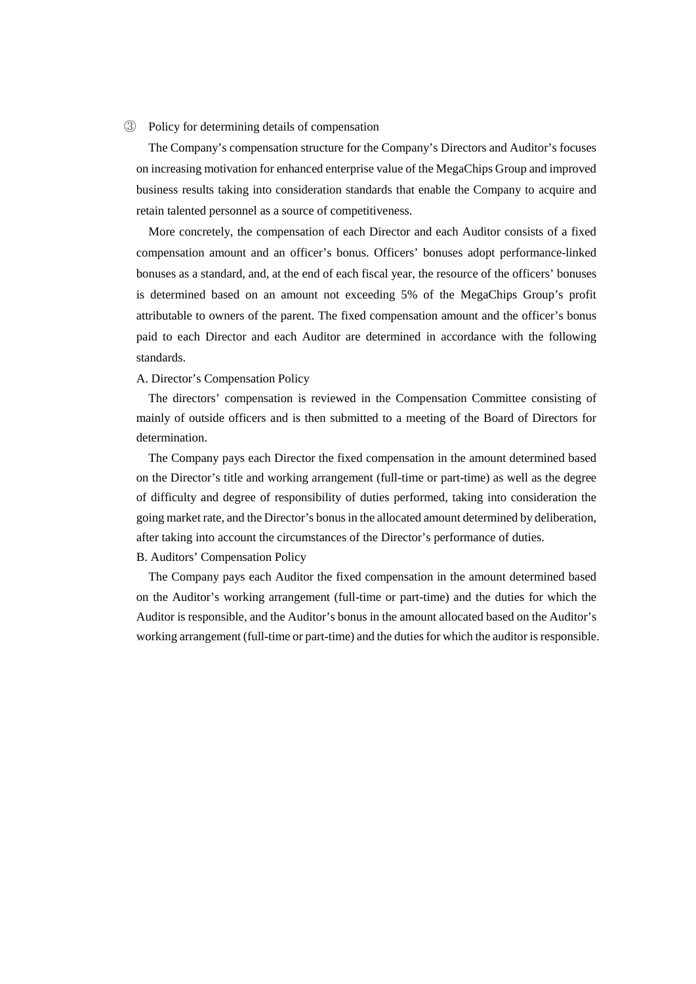### ③ Policy for determining details of compensation

The Company's compensation structure for the Company's Directors and Auditor's focuses on increasing motivation for enhanced enterprise value of the MegaChips Group and improved business results taking into consideration standards that enable the Company to acquire and retain talented personnel as a source of competitiveness.

More concretely, the compensation of each Director and each Auditor consists of a fixed compensation amount and an officer's bonus. Officers' bonuses adopt performance-linked bonuses as a standard, and, at the end of each fiscal year, the resource of the officers' bonuses is determined based on an amount not exceeding 5% of the MegaChips Group's profit attributable to owners of the parent. The fixed compensation amount and the officer's bonus paid to each Director and each Auditor are determined in accordance with the following standards.

### A. Director's Compensation Policy

The directors' compensation is reviewed in the Compensation Committee consisting of mainly of outside officers and is then submitted to a meeting of the Board of Directors for determination.

The Company pays each Director the fixed compensation in the amount determined based on the Director's title and working arrangement (full-time or part-time) as well as the degree of difficulty and degree of responsibility of duties performed, taking into consideration the going market rate, and the Director's bonus in the allocated amount determined by deliberation, after taking into account the circumstances of the Director's performance of duties.

### B. Auditors' Compensation Policy

The Company pays each Auditor the fixed compensation in the amount determined based on the Auditor's working arrangement (full-time or part-time) and the duties for which the Auditor is responsible, and the Auditor's bonus in the amount allocated based on the Auditor's working arrangement (full-time or part-time) and the duties for which the auditor is responsible.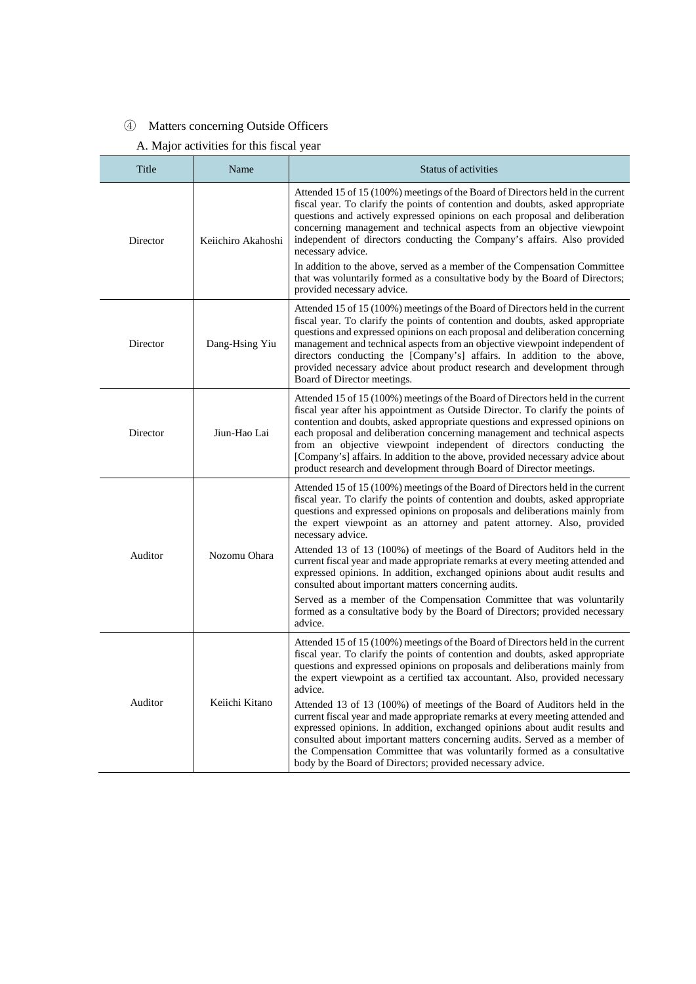# ④ Matters concerning Outside Officers

# A. Major activities for this fiscal year

|         | Title    | Name               | Status of activities                                                                                                                                                                                                                                                                                                                                                                                                                                                                                                                                                                        |
|---------|----------|--------------------|---------------------------------------------------------------------------------------------------------------------------------------------------------------------------------------------------------------------------------------------------------------------------------------------------------------------------------------------------------------------------------------------------------------------------------------------------------------------------------------------------------------------------------------------------------------------------------------------|
|         | Director | Keiichiro Akahoshi | Attended 15 of 15 (100%) meetings of the Board of Directors held in the current<br>fiscal year. To clarify the points of contention and doubts, asked appropriate<br>questions and actively expressed opinions on each proposal and deliberation<br>concerning management and technical aspects from an objective viewpoint<br>independent of directors conducting the Company's affairs. Also provided<br>necessary advice.<br>In addition to the above, served as a member of the Compensation Committee<br>that was voluntarily formed as a consultative body by the Board of Directors; |
|         |          |                    | provided necessary advice.<br>Attended 15 of 15 (100%) meetings of the Board of Directors held in the current                                                                                                                                                                                                                                                                                                                                                                                                                                                                               |
|         | Director | Dang-Hsing Yiu     | fiscal year. To clarify the points of contention and doubts, asked appropriate<br>questions and expressed opinions on each proposal and deliberation concerning<br>management and technical aspects from an objective viewpoint independent of<br>directors conducting the [Company's] affairs. In addition to the above,<br>provided necessary advice about product research and development through<br>Board of Director meetings.                                                                                                                                                        |
|         | Director | Jiun-Hao Lai       | Attended 15 of 15 (100%) meetings of the Board of Directors held in the current<br>fiscal year after his appointment as Outside Director. To clarify the points of<br>contention and doubts, asked appropriate questions and expressed opinions on<br>each proposal and deliberation concerning management and technical aspects<br>from an objective viewpoint independent of directors conducting the<br>[Company's] affairs. In addition to the above, provided necessary advice about<br>product research and development through Board of Director meetings.<br>necessary advice.      |
|         |          |                    | Attended 15 of 15 (100%) meetings of the Board of Directors held in the current<br>fiscal year. To clarify the points of contention and doubts, asked appropriate<br>questions and expressed opinions on proposals and deliberations mainly from<br>the expert viewpoint as an attorney and patent attorney. Also, provided                                                                                                                                                                                                                                                                 |
| Auditor |          | Nozomu Ohara       | Attended 13 of 13 (100%) of meetings of the Board of Auditors held in the<br>current fiscal year and made appropriate remarks at every meeting attended and<br>expressed opinions. In addition, exchanged opinions about audit results and<br>consulted about important matters concerning audits.                                                                                                                                                                                                                                                                                          |
|         |          |                    | Served as a member of the Compensation Committee that was voluntarily<br>formed as a consultative body by the Board of Directors; provided necessary<br>advice.                                                                                                                                                                                                                                                                                                                                                                                                                             |
|         |          |                    | Attended 15 of 15 (100%) meetings of the Board of Directors held in the current<br>fiscal year. To clarify the points of contention and doubts, asked appropriate<br>questions and expressed opinions on proposals and deliberations mainly from<br>the expert viewpoint as a certified tax accountant. Also, provided necessary<br>advice.                                                                                                                                                                                                                                                 |
|         | Auditor  | Keiichi Kitano     | Attended 13 of 13 (100%) of meetings of the Board of Auditors held in the<br>current fiscal year and made appropriate remarks at every meeting attended and<br>expressed opinions. In addition, exchanged opinions about audit results and<br>consulted about important matters concerning audits. Served as a member of<br>the Compensation Committee that was voluntarily formed as a consultative<br>body by the Board of Directors; provided necessary advice.                                                                                                                          |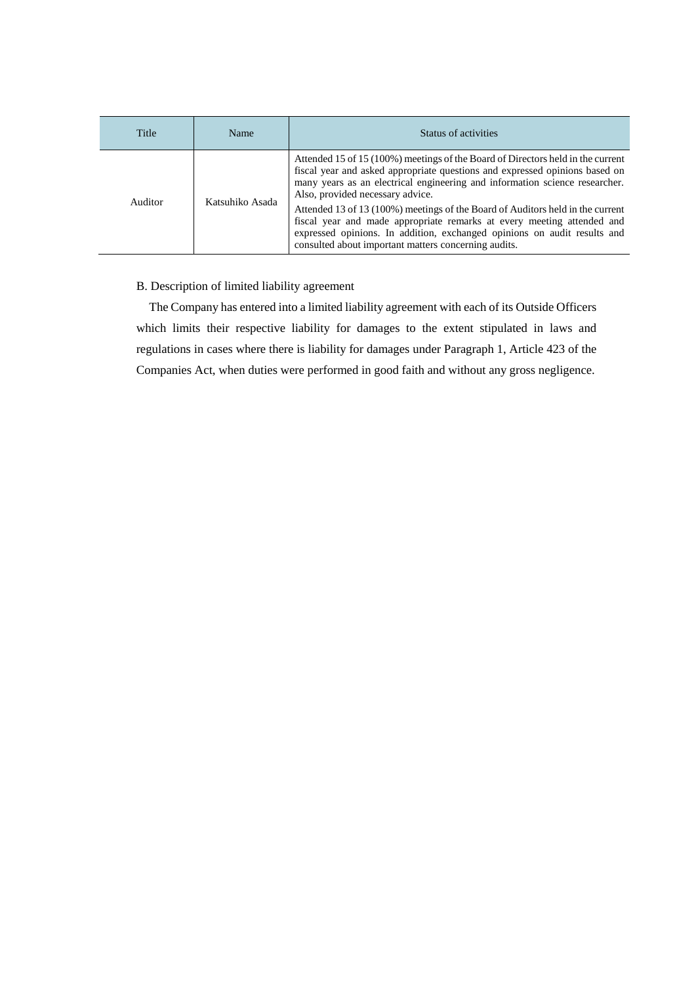| Title   | Name            | Status of activities                                                                                                                                                                                                                                                                                                                                                                                                                                                                                                                                                              |
|---------|-----------------|-----------------------------------------------------------------------------------------------------------------------------------------------------------------------------------------------------------------------------------------------------------------------------------------------------------------------------------------------------------------------------------------------------------------------------------------------------------------------------------------------------------------------------------------------------------------------------------|
| Auditor | Katsuhiko Asada | Attended 15 of 15 (100%) meetings of the Board of Directors held in the current<br>fiscal year and asked appropriate questions and expressed opinions based on<br>many years as an electrical engineering and information science researcher.<br>Also, provided necessary advice.<br>Attended 13 of 13 (100%) meetings of the Board of Auditors held in the current<br>fiscal year and made appropriate remarks at every meeting attended and<br>expressed opinions. In addition, exchanged opinions on audit results and<br>consulted about important matters concerning audits. |

# B. Description of limited liability agreement

The Company has entered into a limited liability agreement with each of its Outside Officers which limits their respective liability for damages to the extent stipulated in laws and regulations in cases where there is liability for damages under Paragraph 1, Article 423 of the Companies Act, when duties were performed in good faith and without any gross negligence.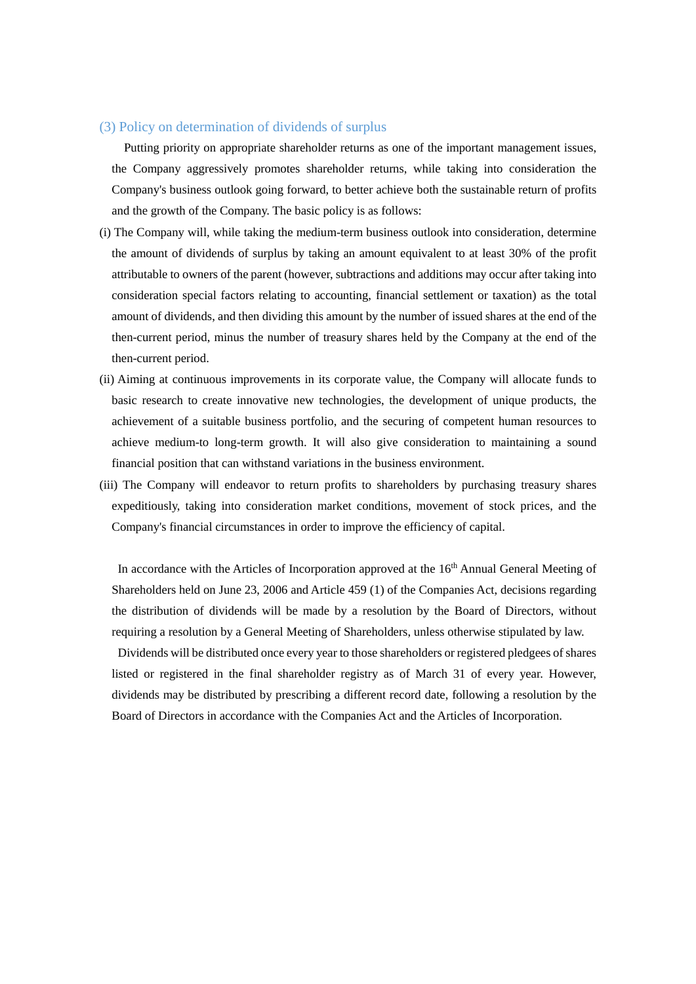# (3) Policy on determination of dividends of surplus

 Putting priority on appropriate shareholder returns as one of the important management issues, the Company aggressively promotes shareholder returns, while taking into consideration the Company's business outlook going forward, to better achieve both the sustainable return of profits and the growth of the Company. The basic policy is as follows:

- (i) The Company will, while taking the medium-term business outlook into consideration, determine the amount of dividends of surplus by taking an amount equivalent to at least 30% of the profit attributable to owners of the parent (however, subtractions and additions may occur after taking into consideration special factors relating to accounting, financial settlement or taxation) as the total amount of dividends, and then dividing this amount by the number of issued shares at the end of the then-current period, minus the number of treasury shares held by the Company at the end of the then-current period.
- (ii) Aiming at continuous improvements in its corporate value, the Company will allocate funds to basic research to create innovative new technologies, the development of unique products, the achievement of a suitable business portfolio, and the securing of competent human resources to achieve medium-to long-term growth. It will also give consideration to maintaining a sound financial position that can withstand variations in the business environment.
- (iii) The Company will endeavor to return profits to shareholders by purchasing treasury shares expeditiously, taking into consideration market conditions, movement of stock prices, and the Company's financial circumstances in order to improve the efficiency of capital.

In accordance with the Articles of Incorporation approved at the 16<sup>th</sup> Annual General Meeting of Shareholders held on June 23, 2006 and Article 459 (1) of the Companies Act, decisions regarding the distribution of dividends will be made by a resolution by the Board of Directors, without requiring a resolution by a General Meeting of Shareholders, unless otherwise stipulated by law.

Dividends will be distributed once every year to those shareholders or registered pledgees of shares listed or registered in the final shareholder registry as of March 31 of every year. However, dividends may be distributed by prescribing a different record date, following a resolution by the Board of Directors in accordance with the Companies Act and the Articles of Incorporation.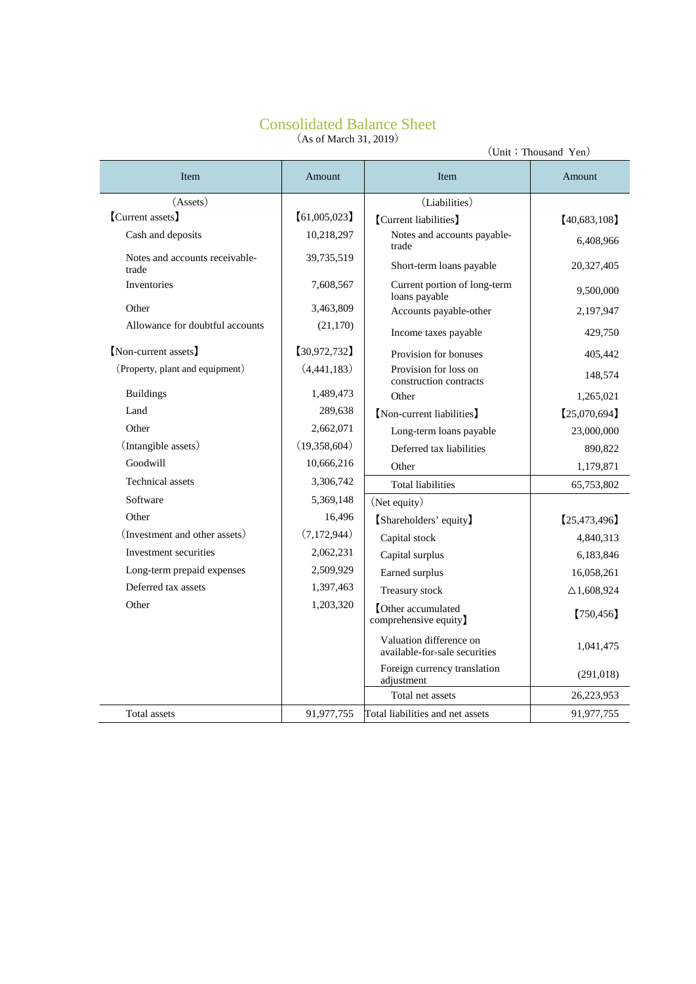# Consolidated Balance Sheet (As of March 31, 2019)

| (Unit: Thousand Yen)                    |              |                                                          |                       |  |  |  |
|-----------------------------------------|--------------|----------------------------------------------------------|-----------------------|--|--|--|
| <b>Item</b>                             | Amount       | <b>Item</b>                                              | Amount                |  |  |  |
| (A <sub>s</sub> )                       |              | (Liabilities)                                            |                       |  |  |  |
| [Current assets]                        | [61,005,023] | [Current liabilities]                                    | [40,683,108]          |  |  |  |
| Cash and deposits                       | 10,218,297   | Notes and accounts payable-<br>trade                     | 6,408,966             |  |  |  |
| Notes and accounts receivable-<br>trade | 39,735,519   | Short-term loans payable                                 | 20,327,405            |  |  |  |
| Inventories                             | 7,608,567    | Current portion of long-term<br>loans payable            | 9,500,000             |  |  |  |
| Other                                   | 3,463,809    | Accounts payable-other                                   | 2,197,947             |  |  |  |
| Allowance for doubtful accounts         | (21, 170)    | Income taxes payable                                     | 429,750               |  |  |  |
| [Non-current assets]                    | [30,972,732] | Provision for bonuses                                    | 405,442               |  |  |  |
| (Property, plant and equipment)         | (4,441,183)  | Provision for loss on<br>construction contracts          | 148,574               |  |  |  |
| <b>Buildings</b>                        | 1,489,473    | Other                                                    | 1,265,021             |  |  |  |
| Land                                    | 289,638      | [Non-current liabilities]                                | [25,070,694]          |  |  |  |
| Other                                   | 2,662,071    | Long-term loans payable                                  | 23,000,000            |  |  |  |
| (Intangible assets)                     | (19,358,604) | Deferred tax liabilities                                 | 890,822               |  |  |  |
| Goodwill                                | 10,666,216   | Other                                                    | 1,179,871             |  |  |  |
| <b>Technical</b> assets                 | 3,306,742    | <b>Total liabilities</b>                                 | 65,753,802            |  |  |  |
| Software                                | 5,369,148    | (Net equity)                                             |                       |  |  |  |
| Other                                   | 16,496       | [Shareholders' equity]                                   | [25, 473, 496]        |  |  |  |
| (Investment and other assets)           | (7,172,944)  | Capital stock                                            | 4,840,313             |  |  |  |
| Investment securities                   | 2,062,231    | Capital surplus                                          | 6,183,846             |  |  |  |
| Long-term prepaid expenses              | 2,509,929    | Earned surplus                                           | 16,058,261            |  |  |  |
| Deferred tax assets                     | 1,397,463    | Treasury stock                                           | $\triangle$ 1,608,924 |  |  |  |
| Other                                   | 1,203,320    | <b>C</b> ther accumulated<br>comprehensive equity)       | [750, 456]            |  |  |  |
|                                         |              | Valuation difference on<br>available-for-sale securities | 1,041,475             |  |  |  |
|                                         |              | Foreign currency translation<br>adjustment               | (291, 018)            |  |  |  |
|                                         |              | Total net assets                                         | 26,223,953            |  |  |  |
| Total assets                            | 91,977,755   | Total liabilities and net assets                         | 91,977,755            |  |  |  |
|                                         |              |                                                          |                       |  |  |  |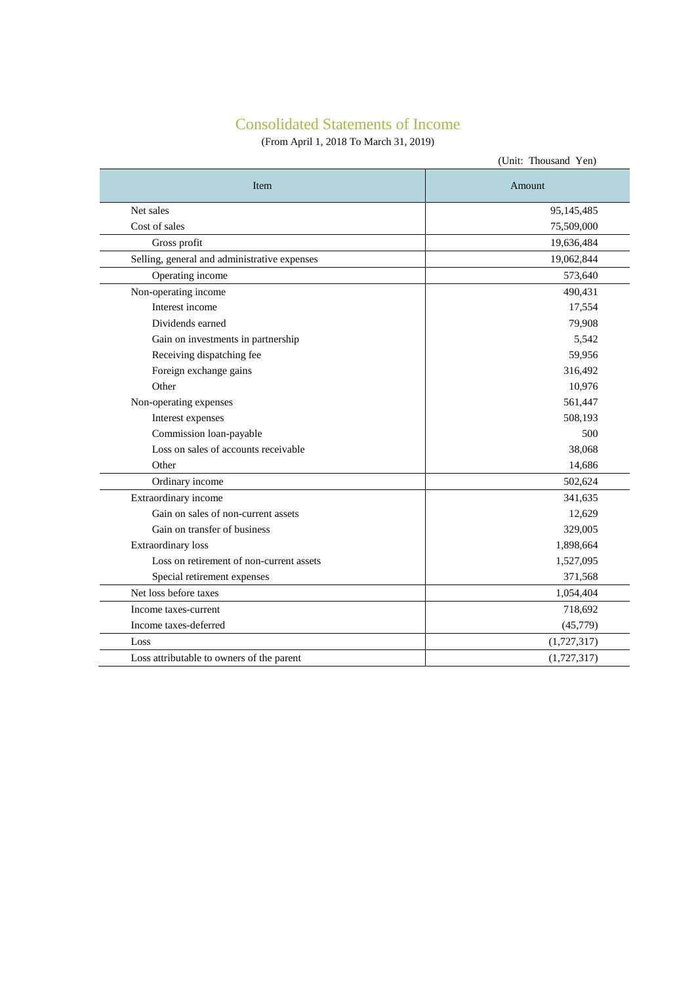# Consolidated Statements of Income

(From April 1, 2018 To March 31, 2019)

|                                              | (Unit: Thousand Yen) |
|----------------------------------------------|----------------------|
| Item                                         | Amount               |
| Net sales                                    | 95,145,485           |
| Cost of sales                                | 75,509,000           |
| Gross profit                                 | 19,636,484           |
| Selling, general and administrative expenses | 19,062,844           |
| Operating income                             | 573,640              |
| Non-operating income                         | 490,431              |
| Interest income                              | 17,554               |
| Dividends earned                             | 79,908               |
| Gain on investments in partnership           | 5,542                |
| Receiving dispatching fee                    | 59,956               |
| Foreign exchange gains                       | 316,492              |
| Other                                        | 10,976               |
| Non-operating expenses                       | 561,447              |
| Interest expenses                            | 508,193              |
| Commission loan-payable                      | 500                  |
| Loss on sales of accounts receivable         | 38,068               |
| Other                                        | 14,686               |
| Ordinary income                              | 502,624              |
| Extraordinary income                         | 341,635              |
| Gain on sales of non-current assets          | 12,629               |
| Gain on transfer of business                 | 329,005              |
| <b>Extraordinary</b> loss                    | 1,898,664            |
| Loss on retirement of non-current assets     | 1,527,095            |
| Special retirement expenses                  | 371,568              |
| Net loss before taxes                        | 1,054,404            |
| Income taxes-current                         | 718,692              |
| Income taxes-deferred                        | (45, 779)            |
| Loss                                         | (1,727,317)          |
| Loss attributable to owners of the parent    | (1,727,317)          |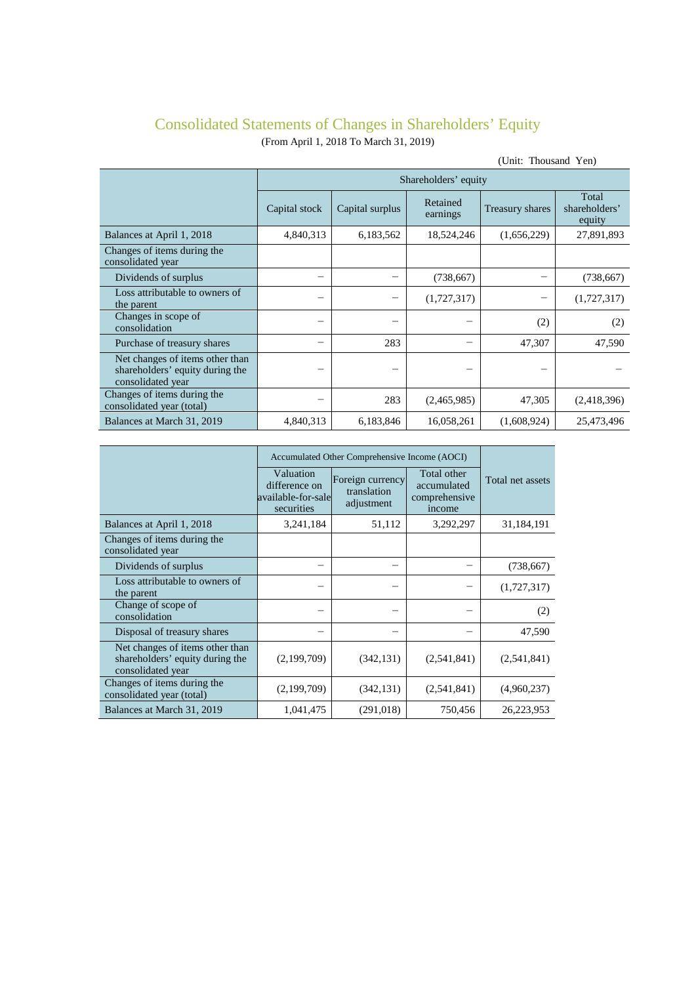# Consolidated Statements of Changes in Shareholders' Equity

(From April 1, 2018 To March 31, 2019)

| (Unit: Thousand Yen)                                                                    |                      |                 |                      |                 |                                  |  |  |  |
|-----------------------------------------------------------------------------------------|----------------------|-----------------|----------------------|-----------------|----------------------------------|--|--|--|
|                                                                                         | Shareholders' equity |                 |                      |                 |                                  |  |  |  |
|                                                                                         | Capital stock        | Capital surplus | Retained<br>earnings | Treasury shares | Total<br>shareholders'<br>equity |  |  |  |
| Balances at April 1, 2018                                                               | 4,840,313            | 6,183,562       | 18,524,246           | (1,656,229)     | 27,891,893                       |  |  |  |
| Changes of items during the<br>consolidated year                                        |                      |                 |                      |                 |                                  |  |  |  |
| Dividends of surplus                                                                    |                      |                 | (738, 667)           |                 | (738, 667)                       |  |  |  |
| Loss attributable to owners of<br>the parent                                            |                      |                 | (1,727,317)          |                 | (1,727,317)                      |  |  |  |
| Changes in scope of<br>consolidation                                                    |                      |                 |                      | (2)             | (2)                              |  |  |  |
| Purchase of treasury shares                                                             |                      | 283             |                      | 47,307          | 47,590                           |  |  |  |
| Net changes of items other than<br>shareholders' equity during the<br>consolidated year |                      |                 |                      |                 |                                  |  |  |  |
| Changes of items during the<br>consolidated year (total)                                |                      | 283             | (2,465,985)          | 47,305          | (2,418,396)                      |  |  |  |
| Balances at March 31, 2019                                                              | 4,840,313            | 6,183,846       | 16,058,261           | (1,608,924)     | 25,473,496                       |  |  |  |

|                                                                                         | Accumulated Other Comprehensive Income (AOCI)                  |                                               |                                                       |                  |
|-----------------------------------------------------------------------------------------|----------------------------------------------------------------|-----------------------------------------------|-------------------------------------------------------|------------------|
|                                                                                         | Valuation<br>difference on<br>available-for-sale<br>securities | Foreign currency<br>translation<br>adjustment | Total other<br>accumulated<br>comprehensive<br>income | Total net assets |
| Balances at April 1, 2018                                                               | 3,241,184                                                      | 51,112                                        | 3,292,297                                             | 31,184,191       |
| Changes of items during the<br>consolidated year                                        |                                                                |                                               |                                                       |                  |
| Dividends of surplus                                                                    |                                                                |                                               |                                                       | (738, 667)       |
| Loss attributable to owners of<br>the parent                                            |                                                                |                                               |                                                       | (1,727,317)      |
| Change of scope of<br>consolidation                                                     | -                                                              |                                               |                                                       | (2)              |
| Disposal of treasury shares                                                             |                                                                |                                               |                                                       | 47,590           |
| Net changes of items other than<br>shareholders' equity during the<br>consolidated year | (2,199,709)                                                    | (342, 131)                                    | (2,541,841)                                           | (2,541,841)      |
| Changes of items during the<br>consolidated year (total)                                | (2,199,709)                                                    | (342, 131)                                    | (2,541,841)                                           | (4,960,237)      |
| Balances at March 31, 2019                                                              | 1,041,475                                                      | (291, 018)                                    | 750,456                                               | 26,223,953       |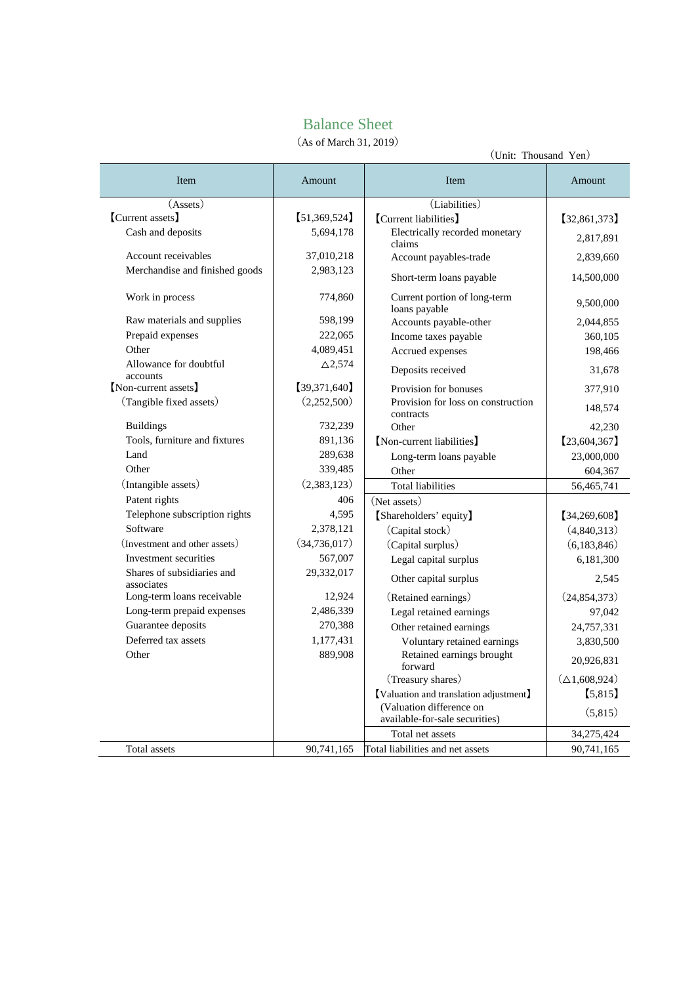# Balance Sheet

(As of March 31, 2019)

| (AS 01 March 31, 2019)<br>(Unit: Thousand Yen) |                   |                                                            |                         |  |  |
|------------------------------------------------|-------------------|------------------------------------------------------------|-------------------------|--|--|
| Item                                           | Amount            | Item                                                       | Amount                  |  |  |
| (A <sub>s</sub> )                              |                   | (Liabilities)                                              |                         |  |  |
| [Current assets]                               | [51,369,524]      | [Current liabilities]                                      | [32,861,373]            |  |  |
| Cash and deposits                              | 5,694,178         | Electrically recorded monetary<br>claims                   | 2,817,891               |  |  |
| Account receivables                            | 37,010,218        | Account payables-trade                                     | 2,839,660               |  |  |
| Merchandise and finished goods                 | 2,983,123         | Short-term loans payable                                   | 14,500,000              |  |  |
| Work in process                                | 774,860           | Current portion of long-term<br>loans payable              | 9,500,000               |  |  |
| Raw materials and supplies                     | 598,199           | Accounts payable-other                                     | 2,044,855               |  |  |
| Prepaid expenses                               | 222,065           | Income taxes payable                                       | 360,105                 |  |  |
| Other                                          | 4,089,451         | Accrued expenses                                           | 198,466                 |  |  |
| Allowance for doubtful<br>accounts             | $\triangle$ 2.574 | Deposits received                                          | 31,678                  |  |  |
| [Non-current assets]                           | [39,371,640]      | Provision for bonuses                                      | 377,910                 |  |  |
| (Tangible fixed assets)                        | (2,252,500)       | Provision for loss on construction<br>contracts            | 148,574                 |  |  |
| <b>Buildings</b>                               | 732,239           | Other                                                      | 42,230                  |  |  |
| Tools, furniture and fixtures                  | 891,136           | [Non-current liabilities]                                  | [23,604,367]            |  |  |
| Land                                           | 289,638           | Long-term loans payable                                    | 23,000,000              |  |  |
| Other                                          | 339,485           | Other                                                      | 604,367                 |  |  |
| (Intangible assets)                            | (2,383,123)       | <b>Total liabilities</b>                                   | 56,465,741              |  |  |
| Patent rights                                  | 406               | (Net assets)                                               |                         |  |  |
| Telephone subscription rights                  | 4,595             | [Shareholders' equity]                                     | [34, 269, 608]          |  |  |
| Software                                       | 2,378,121         | (Capital stock)                                            | (4,840,313)             |  |  |
| (Investment and other assets)                  | (34, 736, 017)    | (Capital surplus)                                          | (6,183,846)             |  |  |
| Investment securities                          | 567,007           | Legal capital surplus                                      | 6,181,300               |  |  |
| Shares of subsidiaries and<br>associates       | 29,332,017        | Other capital surplus                                      | 2,545                   |  |  |
| Long-term loans receivable                     | 12,924            | (Retained earnings)                                        | (24, 854, 373)          |  |  |
| Long-term prepaid expenses                     | 2,486,339         | Legal retained earnings                                    | 97,042                  |  |  |
| Guarantee deposits                             | 270,388           | Other retained earnings                                    | 24,757,331              |  |  |
| Deferred tax assets                            | 1,177,431         | Voluntary retained earnings                                | 3,830,500               |  |  |
| Other                                          | 889,908           | Retained earnings brought<br>forward                       | 20,926,831              |  |  |
|                                                |                   | (Treasury shares)                                          | $(\triangle 1,608,924)$ |  |  |
|                                                |                   | [Valuation and translation adjustment]                     | [5,815]                 |  |  |
|                                                |                   | (Valuation difference on<br>available-for-sale securities) | (5,815)                 |  |  |
|                                                |                   | Total net assets                                           | 34,275,424              |  |  |
| Total assets                                   | 90,741,165        | Total liabilities and net assets                           | 90,741,165              |  |  |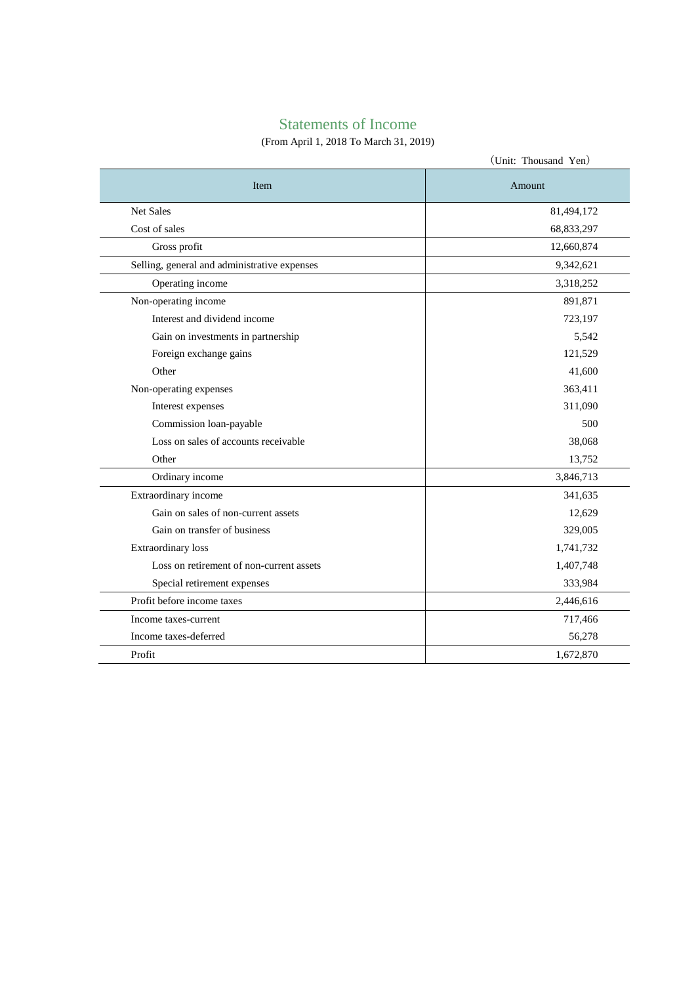# Statements of Income

# (From April 1, 2018 To March 31, 2019)

|                                              | (Unit: Thousand Yen) |
|----------------------------------------------|----------------------|
| Item                                         | Amount               |
| <b>Net Sales</b>                             | 81,494,172           |
| Cost of sales                                | 68,833,297           |
| Gross profit                                 | 12,660,874           |
| Selling, general and administrative expenses | 9,342,621            |
| Operating income                             | 3,318,252            |
| Non-operating income                         | 891,871              |
| Interest and dividend income                 | 723,197              |
| Gain on investments in partnership           | 5,542                |
| Foreign exchange gains                       | 121,529              |
| Other                                        | 41,600               |
| Non-operating expenses                       | 363,411              |
| Interest expenses                            | 311,090              |
| Commission loan-payable                      | 500                  |
| Loss on sales of accounts receivable         | 38,068               |
| Other                                        | 13,752               |
| Ordinary income                              | 3,846,713            |
| Extraordinary income                         | 341,635              |
| Gain on sales of non-current assets          | 12,629               |
| Gain on transfer of business                 | 329,005              |
| <b>Extraordinary</b> loss                    | 1,741,732            |
| Loss on retirement of non-current assets     | 1,407,748            |
| Special retirement expenses                  | 333,984              |
| Profit before income taxes                   | 2,446,616            |
| Income taxes-current                         | 717,466              |
| Income taxes-deferred                        | 56,278               |
| Profit                                       | 1,672,870            |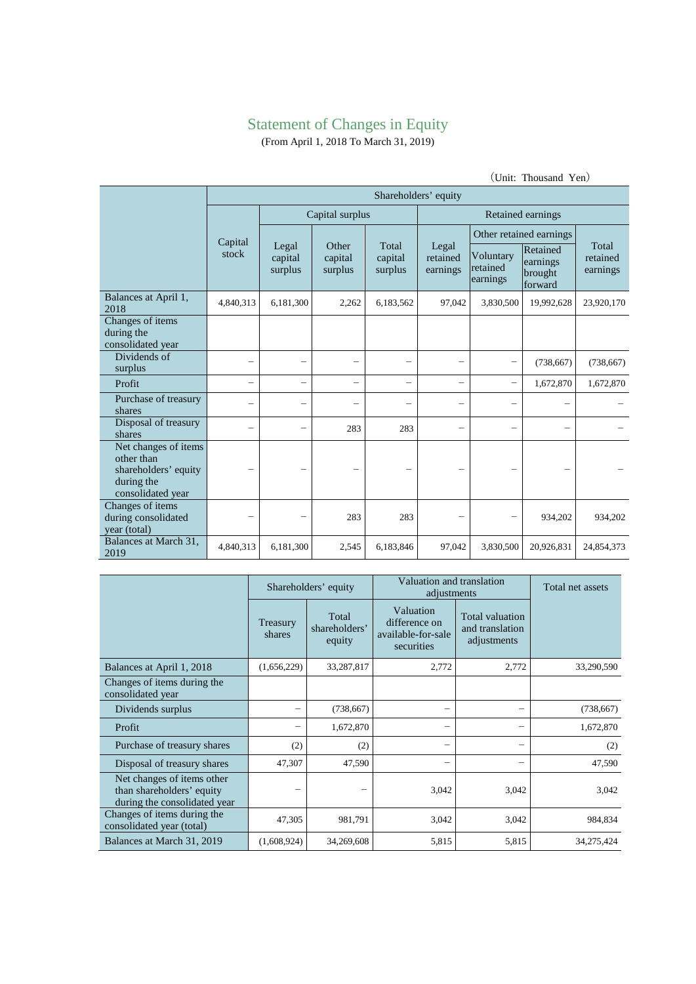# Statement of Changes in Equity

(From April 1, 2018 To March 31, 2019)

|                                                                                               | $\mathcal{L}$ only invasant ren $\lambda$ |                             |                             |                             |                               |                                   |                                            |                               |
|-----------------------------------------------------------------------------------------------|-------------------------------------------|-----------------------------|-----------------------------|-----------------------------|-------------------------------|-----------------------------------|--------------------------------------------|-------------------------------|
|                                                                                               | Shareholders' equity                      |                             |                             |                             |                               |                                   |                                            |                               |
|                                                                                               |                                           | Capital surplus             |                             |                             | Retained earnings             |                                   |                                            |                               |
|                                                                                               | Capital                                   |                             |                             |                             |                               | Other retained earnings           |                                            |                               |
|                                                                                               | stock                                     | Legal<br>capital<br>surplus | Other<br>capital<br>surplus | Total<br>capital<br>surplus | Legal<br>retained<br>earnings | Voluntary<br>retained<br>earnings | Retained<br>earnings<br>brought<br>forward | Total<br>retained<br>earnings |
| Balances at April 1,<br>2018                                                                  | 4,840,313                                 | 6,181,300                   | 2,262                       | 6,183,562                   | 97,042                        | 3,830,500                         | 19,992,628                                 | 23,920,170                    |
| Changes of items<br>during the<br>consolidated year                                           |                                           |                             |                             |                             |                               |                                   |                                            |                               |
| Dividends of<br>surplus                                                                       |                                           |                             | —                           |                             |                               |                                   | (738, 667)                                 | (738, 667)                    |
| Profit                                                                                        |                                           | $\equiv$                    |                             | $\qquad \qquad -$           |                               |                                   | 1,672,870                                  | 1,672,870                     |
| Purchase of treasury<br>shares                                                                |                                           |                             |                             | $\overline{\phantom{0}}$    |                               | $\overline{\phantom{0}}$          |                                            |                               |
| Disposal of treasury<br>shares                                                                |                                           |                             | 283                         | 283                         |                               |                                   |                                            |                               |
| Net changes of items<br>other than<br>shareholders' equity<br>during the<br>consolidated year |                                           |                             |                             |                             |                               |                                   |                                            |                               |
| Changes of items<br>during consolidated<br>year (total)                                       |                                           |                             | 283                         | 283                         |                               | -                                 | 934,202                                    | 934,202                       |
| Balances at March 31,<br>2019                                                                 | 4,840,313                                 | 6,181,300                   | 2,545                       | 6,183,846                   | 97,042                        | 3,830,500                         | 20,926,831                                 | 24,854,373                    |

|                                                                                         |                    | Shareholders' equity             | Valuation and translation<br>adjustments                       |                                                   | Total net assets |
|-----------------------------------------------------------------------------------------|--------------------|----------------------------------|----------------------------------------------------------------|---------------------------------------------------|------------------|
|                                                                                         | Treasury<br>shares | Total<br>shareholders'<br>equity | Valuation<br>difference on<br>available-for-sale<br>securities | Total valuation<br>and translation<br>adjustments |                  |
| Balances at April 1, 2018                                                               | (1,656,229)        | 33,287,817                       | 2,772                                                          | 2,772                                             | 33,290,590       |
| Changes of items during the<br>consolidated year                                        |                    |                                  |                                                                |                                                   |                  |
| Dividends surplus                                                                       |                    | (738, 667)                       | -                                                              |                                                   | (738, 667)       |
| Profit                                                                                  | -                  | 1,672,870                        | -                                                              | -                                                 | 1,672,870        |
| Purchase of treasury shares                                                             | (2)                | (2)                              |                                                                |                                                   | (2)              |
| Disposal of treasury shares                                                             | 47,307             | 47,590                           |                                                                |                                                   | 47,590           |
| Net changes of items other<br>than shareholders' equity<br>during the consolidated year |                    |                                  | 3,042                                                          | 3,042                                             | 3,042            |
| Changes of items during the<br>consolidated year (total)                                | 47,305             | 981,791                          | 3,042                                                          | 3,042                                             | 984,834          |
| Balances at March 31, 2019                                                              | (1,608,924)        | 34,269,608                       | 5,815                                                          | 5,815                                             | 34,275,424       |

(Unit: Thousand Yen)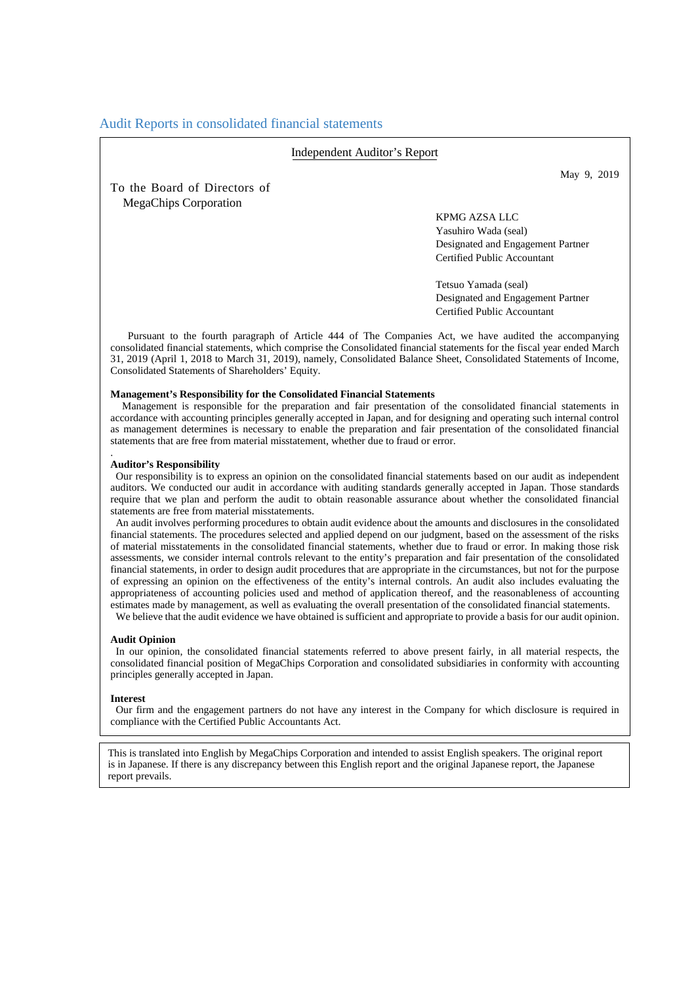# Audit Reports in consolidated financial statements

#### Independent Auditor's Report

To the Board of Directors of MegaChips Corporation

May 9, 2019

KPMG AZSA LLC Yasuhiro Wada (seal) Designated and Engagement Partner Certified Public Accountant

Tetsuo Yamada (seal) Designated and Engagement Partner Certified Public Accountant

Pursuant to the fourth paragraph of Article 444 of The Companies Act, we have audited the accompanying consolidated financial statements, which comprise the Consolidated financial statements for the fiscal year ended March 31, 2019 (April 1, 2018 to March 31, 2019), namely, Consolidated Balance Sheet, Consolidated Statements of Income, Consolidated Statements of Shareholders' Equity.

#### **Management's Responsibility for the Consolidated Financial Statements**

Management is responsible for the preparation and fair presentation of the consolidated financial statements in accordance with accounting principles generally accepted in Japan, and for designing and operating such internal control as management determines is necessary to enable the preparation and fair presentation of the consolidated financial statements that are free from material misstatement, whether due to fraud or error.

#### **Auditor's Responsibility**

.

Our responsibility is to express an opinion on the consolidated financial statements based on our audit as independent auditors. We conducted our audit in accordance with auditing standards generally accepted in Japan. Those standards require that we plan and perform the audit to obtain reasonable assurance about whether the consolidated financial statements are free from material misstatements.

An audit involves performing procedures to obtain audit evidence about the amounts and disclosures in the consolidated financial statements. The procedures selected and applied depend on our judgment, based on the assessment of the risks of material misstatements in the consolidated financial statements, whether due to fraud or error. In making those risk assessments, we consider internal controls relevant to the entity's preparation and fair presentation of the consolidated financial statements, in order to design audit procedures that are appropriate in the circumstances, but not for the purpose of expressing an opinion on the effectiveness of the entity's internal controls. An audit also includes evaluating the appropriateness of accounting policies used and method of application thereof, and the reasonableness of accounting estimates made by management, as well as evaluating the overall presentation of the consolidated financial statements. We believe that the audit evidence we have obtained is sufficient and appropriate to provide a basis for our audit opinion.

#### **Audit Opinion**

In our opinion, the consolidated financial statements referred to above present fairly, in all material respects, the consolidated financial position of MegaChips Corporation and consolidated subsidiaries in conformity with accounting principles generally accepted in Japan.

#### **Interest**

Our firm and the engagement partners do not have any interest in the Company for which disclosure is required in compliance with the Certified Public Accountants Act.

This is translated into English by MegaChips Corporation and intended to assist English speakers. The original report is in Japanese. If there is any discrepancy between this English report and the original Japanese report, the Japanese report prevails.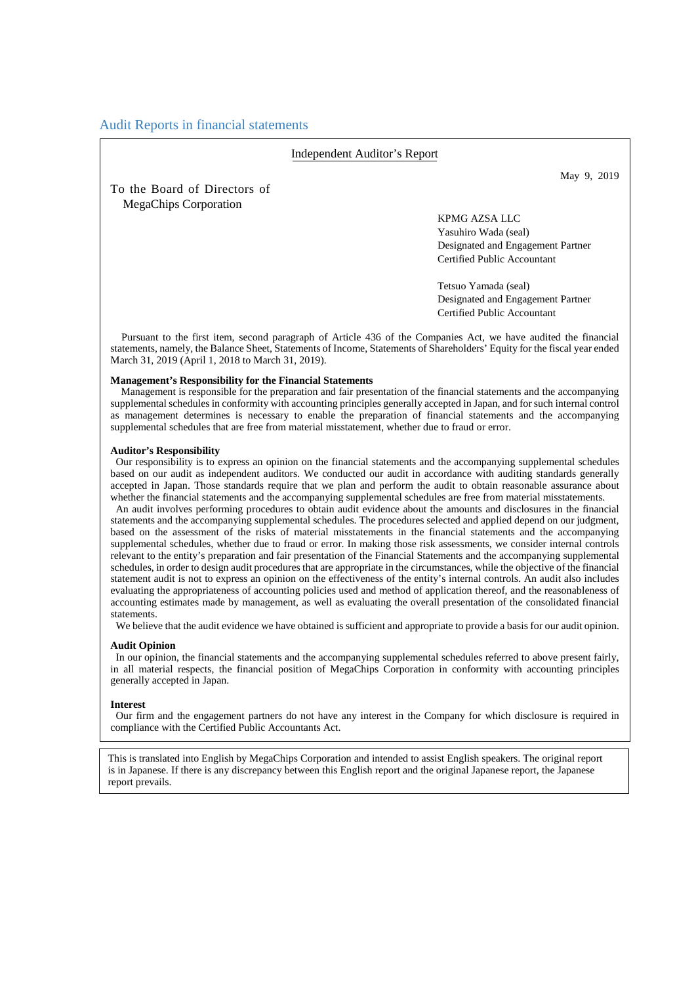# Audit Reports in financial statements

#### Independent Auditor's Report

To the Board of Directors of MegaChips Corporation

May 9, 2019

### KPMG AZSA LLC Yasuhiro Wada (seal) Designated and Engagement Partner Certified Public Accountant

Tetsuo Yamada (seal) Designated and Engagement Partner Certified Public Accountant

Pursuant to the first item, second paragraph of Article 436 of the Companies Act, we have audited the financial statements, namely, the Balance Sheet, Statements of Income, Statements of Shareholders' Equity for the fiscal year ended March 31, 2019 (April 1, 2018 to March 31, 2019).

#### **Management's Responsibility for the Financial Statements**

Management is responsible for the preparation and fair presentation of the financial statements and the accompanying supplemental schedules in conformity with accounting principles generally accepted in Japan, and for such internal control as management determines is necessary to enable the preparation of financial statements and the accompanying supplemental schedules that are free from material misstatement, whether due to fraud or error.

#### **Auditor's Responsibility**

Our responsibility is to express an opinion on the financial statements and the accompanying supplemental schedules based on our audit as independent auditors. We conducted our audit in accordance with auditing standards generally accepted in Japan. Those standards require that we plan and perform the audit to obtain reasonable assurance about whether the financial statements and the accompanying supplemental schedules are free from material misstatements.

An audit involves performing procedures to obtain audit evidence about the amounts and disclosures in the financial statements and the accompanying supplemental schedules. The procedures selected and applied depend on our judgment, based on the assessment of the risks of material misstatements in the financial statements and the accompanying supplemental schedules, whether due to fraud or error. In making those risk assessments, we consider internal controls relevant to the entity's preparation and fair presentation of the Financial Statements and the accompanying supplemental schedules, in order to design audit procedures that are appropriate in the circumstances, while the objective of the financial statement audit is not to express an opinion on the effectiveness of the entity's internal controls. An audit also includes evaluating the appropriateness of accounting policies used and method of application thereof, and the reasonableness of accounting estimates made by management, as well as evaluating the overall presentation of the consolidated financial statements.

We believe that the audit evidence we have obtained is sufficient and appropriate to provide a basis for our audit opinion.

#### **Audit Opinion**

In our opinion, the financial statements and the accompanying supplemental schedules referred to above present fairly, in all material respects, the financial position of MegaChips Corporation in conformity with accounting principles generally accepted in Japan.

#### **Interest**

Our firm and the engagement partners do not have any interest in the Company for which disclosure is required in compliance with the Certified Public Accountants Act.

This is translated into English by MegaChips Corporation and intended to assist English speakers. The original report is in Japanese. If there is any discrepancy between this English report and the original Japanese report, the Japanese report prevails.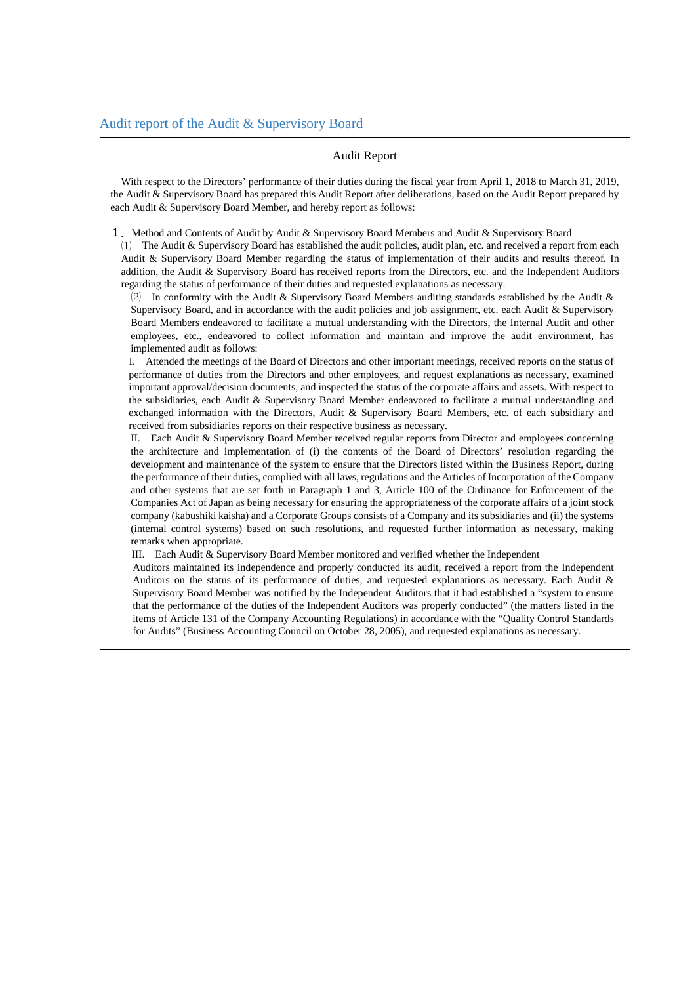#### Audit Report

With respect to the Directors' performance of their duties during the fiscal year from April 1, 2018 to March 31, 2019, the Audit & Supervisory Board has prepared this Audit Report after deliberations, based on the Audit Report prepared by each Audit & Supervisory Board Member, and hereby report as follows:

1.Method and Contents of Audit by Audit & Supervisory Board Members and Audit & Supervisory Board

⑴ The Audit & Supervisory Board has established the audit policies, audit plan, etc. and received a report from each Audit & Supervisory Board Member regarding the status of implementation of their audits and results thereof. In addition, the Audit & Supervisory Board has received reports from the Directors, etc. and the Independent Auditors regarding the status of performance of their duties and requested explanations as necessary.

⑵ In conformity with the Audit & Supervisory Board Members auditing standards established by the Audit & Supervisory Board, and in accordance with the audit policies and job assignment, etc. each Audit & Supervisory Board Members endeavored to facilitate a mutual understanding with the Directors, the Internal Audit and other employees, etc., endeavored to collect information and maintain and improve the audit environment, has implemented audit as follows:

 I. Attended the meetings of the Board of Directors and other important meetings, received reports on the status of performance of duties from the Directors and other employees, and request explanations as necessary, examined important approval/decision documents, and inspected the status of the corporate affairs and assets. With respect to the subsidiaries, each Audit & Supervisory Board Member endeavored to facilitate a mutual understanding and exchanged information with the Directors, Audit & Supervisory Board Members, etc. of each subsidiary and received from subsidiaries reports on their respective business as necessary.

II. Each Audit & Supervisory Board Member received regular reports from Director and employees concerning the architecture and implementation of (i) the contents of the Board of Directors' resolution regarding the development and maintenance of the system to ensure that the Directors listed within the Business Report, during the performance of their duties, complied with all laws, regulations and the Articles of Incorporation of the Company and other systems that are set forth in Paragraph 1 and 3, Article 100 of the Ordinance for Enforcement of the Companies Act of Japan as being necessary for ensuring the appropriateness of the corporate affairs of a joint stock company (kabushiki kaisha) and a Corporate Groups consists of a Company and its subsidiaries and (ii) the systems (internal control systems) based on such resolutions, and requested further information as necessary, making remarks when appropriate.

III. Each Audit & Supervisory Board Member monitored and verified whether the Independent

Auditors maintained its independence and properly conducted its audit, received a report from the Independent Auditors on the status of its performance of duties, and requested explanations as necessary. Each Audit & Supervisory Board Member was notified by the Independent Auditors that it had established a "system to ensure that the performance of the duties of the Independent Auditors was properly conducted" (the matters listed in the items of Article 131 of the Company Accounting Regulations) in accordance with the "Quality Control Standards for Audits" (Business Accounting Council on October 28, 2005), and requested explanations as necessary.